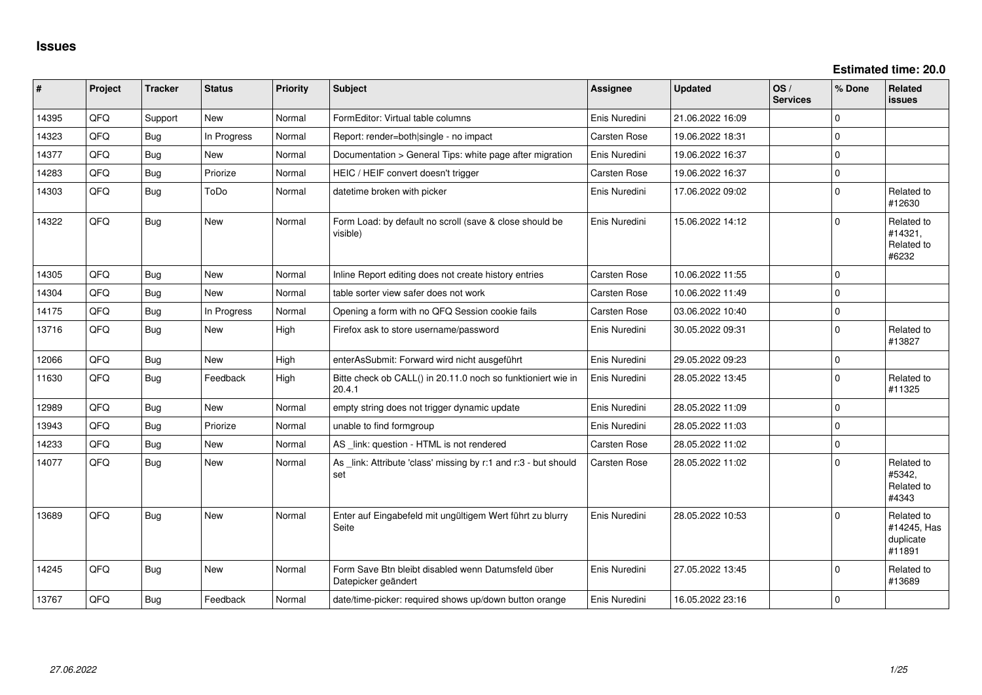**Estimated time: 20.0**

| ∥ #   | Project    | <b>Tracker</b> | <b>Status</b> | <b>Priority</b> | <b>Subject</b>                                                            | <b>Assignee</b> | <b>Updated</b>   | OS/<br><b>Services</b> | % Done   | Related<br>issues                                |
|-------|------------|----------------|---------------|-----------------|---------------------------------------------------------------------------|-----------------|------------------|------------------------|----------|--------------------------------------------------|
| 14395 | QFQ        | Support        | New           | Normal          | FormEditor: Virtual table columns                                         | Enis Nuredini   | 21.06.2022 16:09 |                        | $\Omega$ |                                                  |
| 14323 | QFQ        | Bug            | In Progress   | Normal          | Report: render=both single - no impact                                    | Carsten Rose    | 19.06.2022 18:31 |                        | $\Omega$ |                                                  |
| 14377 | <b>OFO</b> | Bug            | <b>New</b>    | Normal          | Documentation > General Tips: white page after migration                  | Enis Nuredini   | 19.06.2022 16:37 |                        | $\Omega$ |                                                  |
| 14283 | QFQ        | <b>Bug</b>     | Priorize      | Normal          | HEIC / HEIF convert doesn't trigger                                       | Carsten Rose    | 19.06.2022 16:37 |                        | $\Omega$ |                                                  |
| 14303 | QFQ        | Bug            | ToDo          | Normal          | datetime broken with picker                                               | Enis Nuredini   | 17.06.2022 09:02 |                        | $\Omega$ | Related to<br>#12630                             |
| 14322 | QFQ        | <b>Bug</b>     | New           | Normal          | Form Load: by default no scroll (save & close should be<br>visible)       | Enis Nuredini   | 15.06.2022 14:12 |                        | $\Omega$ | Related to<br>#14321,<br>Related to<br>#6232     |
| 14305 | <b>OFO</b> | Bug            | <b>New</b>    | Normal          | Inline Report editing does not create history entries                     | Carsten Rose    | 10.06.2022 11:55 |                        | $\Omega$ |                                                  |
| 14304 | QFQ        | Bug            | New           | Normal          | table sorter view safer does not work                                     | Carsten Rose    | 10.06.2022 11:49 |                        | $\Omega$ |                                                  |
| 14175 | QFQ        | Bug            | In Progress   | Normal          | Opening a form with no QFQ Session cookie fails                           | Carsten Rose    | 03.06.2022 10:40 |                        | $\Omega$ |                                                  |
| 13716 | QFQ        | <b>Bug</b>     | New           | High            | Firefox ask to store username/password                                    | Enis Nuredini   | 30.05.2022 09:31 |                        | $\Omega$ | Related to<br>#13827                             |
| 12066 | <b>OFO</b> | Bug            | <b>New</b>    | High            | enterAsSubmit: Forward wird nicht ausgeführt                              | Enis Nuredini   | 29.05.2022 09:23 |                        | $\Omega$ |                                                  |
| 11630 | QFQ        | <b>Bug</b>     | Feedback      | High            | Bitte check ob CALL() in 20.11.0 noch so funktioniert wie in<br>20.4.1    | Enis Nuredini   | 28.05.2022 13:45 |                        | $\Omega$ | Related to<br>#11325                             |
| 12989 | QFQ        | <b>Bug</b>     | New           | Normal          | empty string does not trigger dynamic update                              | Enis Nuredini   | 28.05.2022 11:09 |                        | $\Omega$ |                                                  |
| 13943 | QFQ        | Bug            | Priorize      | Normal          | unable to find formgroup                                                  | Enis Nuredini   | 28.05.2022 11:03 |                        | $\Omega$ |                                                  |
| 14233 | QFQ        | Bug            | New           | Normal          | AS _link: question - HTML is not rendered                                 | Carsten Rose    | 28.05.2022 11:02 |                        | $\Omega$ |                                                  |
| 14077 | QFQ        | Bug            | New           | Normal          | As link: Attribute 'class' missing by r:1 and r:3 - but should<br>set     | Carsten Rose    | 28.05.2022 11:02 |                        | $\Omega$ | Related to<br>#5342,<br>Related to<br>#4343      |
| 13689 | QFQ        | <b>Bug</b>     | <b>New</b>    | Normal          | Enter auf Eingabefeld mit ungültigem Wert führt zu blurry<br>Seite        | Enis Nuredini   | 28.05.2022 10:53 |                        | $\Omega$ | Related to<br>#14245, Has<br>duplicate<br>#11891 |
| 14245 | QFQ        | <b>Bug</b>     | New           | Normal          | Form Save Btn bleibt disabled wenn Datumsfeld über<br>Datepicker geändert | Enis Nuredini   | 27.05.2022 13:45 |                        | $\Omega$ | Related to<br>#13689                             |
| 13767 | QFQ        | Bug            | Feedback      | Normal          | date/time-picker: required shows up/down button orange                    | Enis Nuredini   | 16.05.2022 23:16 |                        | $\Omega$ |                                                  |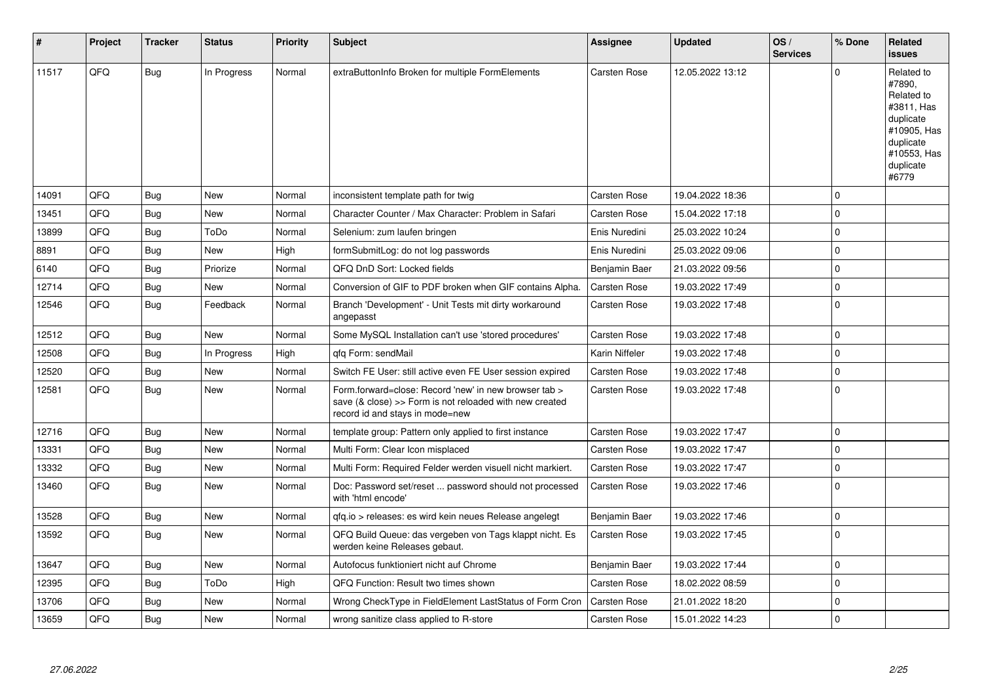| $\sharp$ | Project | <b>Tracker</b> | <b>Status</b> | Priority | <b>Subject</b>                                                                                                                                      | <b>Assignee</b>     | <b>Updated</b>   | OS/<br><b>Services</b> | % Done      | Related<br><b>issues</b>                                                                                                       |
|----------|---------|----------------|---------------|----------|-----------------------------------------------------------------------------------------------------------------------------------------------------|---------------------|------------------|------------------------|-------------|--------------------------------------------------------------------------------------------------------------------------------|
| 11517    | QFQ     | <b>Bug</b>     | In Progress   | Normal   | extraButtonInfo Broken for multiple FormElements                                                                                                    | Carsten Rose        | 12.05.2022 13:12 |                        | $\Omega$    | Related to<br>#7890,<br>Related to<br>#3811, Has<br>duplicate<br>#10905, Has<br>duplicate<br>#10553, Has<br>duplicate<br>#6779 |
| 14091    | QFQ     | <b>Bug</b>     | <b>New</b>    | Normal   | inconsistent template path for twig                                                                                                                 | Carsten Rose        | 19.04.2022 18:36 |                        | $\mathbf 0$ |                                                                                                                                |
| 13451    | QFQ     | Bug            | <b>New</b>    | Normal   | Character Counter / Max Character: Problem in Safari                                                                                                | Carsten Rose        | 15.04.2022 17:18 |                        | $\Omega$    |                                                                                                                                |
| 13899    | QFQ     | <b>Bug</b>     | ToDo          | Normal   | Selenium: zum laufen bringen                                                                                                                        | Enis Nuredini       | 25.03.2022 10:24 |                        | $\pmb{0}$   |                                                                                                                                |
| 8891     | QFQ     | <b>Bug</b>     | New           | High     | formSubmitLog: do not log passwords                                                                                                                 | Enis Nuredini       | 25.03.2022 09:06 |                        | $\mathbf 0$ |                                                                                                                                |
| 6140     | QFQ     | Bug            | Priorize      | Normal   | QFQ DnD Sort: Locked fields                                                                                                                         | Benjamin Baer       | 21.03.2022 09:56 |                        | $\mathbf 0$ |                                                                                                                                |
| 12714    | QFQ     | Bug            | New           | Normal   | Conversion of GIF to PDF broken when GIF contains Alpha.                                                                                            | <b>Carsten Rose</b> | 19.03.2022 17:49 |                        | $\mathbf 0$ |                                                                                                                                |
| 12546    | QFQ     | <b>Bug</b>     | Feedback      | Normal   | Branch 'Development' - Unit Tests mit dirty workaround<br>angepasst                                                                                 | Carsten Rose        | 19.03.2022 17:48 |                        | $\Omega$    |                                                                                                                                |
| 12512    | QFQ     | Bug            | <b>New</b>    | Normal   | Some MySQL Installation can't use 'stored procedures'                                                                                               | Carsten Rose        | 19.03.2022 17:48 |                        | $\mathbf 0$ |                                                                                                                                |
| 12508    | QFQ     | <b>Bug</b>     | In Progress   | High     | gfg Form: sendMail                                                                                                                                  | Karin Niffeler      | 19.03.2022 17:48 |                        | $\mathbf 0$ |                                                                                                                                |
| 12520    | QFQ     | Bug            | <b>New</b>    | Normal   | Switch FE User: still active even FE User session expired                                                                                           | Carsten Rose        | 19.03.2022 17:48 |                        | $\mathbf 0$ |                                                                                                                                |
| 12581    | QFQ     | Bug            | <b>New</b>    | Normal   | Form.forward=close: Record 'new' in new browser tab ><br>save (& close) >> Form is not reloaded with new created<br>record id and stays in mode=new | Carsten Rose        | 19.03.2022 17:48 |                        | $\mathbf 0$ |                                                                                                                                |
| 12716    | QFQ     | Bug            | <b>New</b>    | Normal   | template group: Pattern only applied to first instance                                                                                              | Carsten Rose        | 19.03.2022 17:47 |                        | $\mathbf 0$ |                                                                                                                                |
| 13331    | QFQ     | Bug            | <b>New</b>    | Normal   | Multi Form: Clear Icon misplaced                                                                                                                    | Carsten Rose        | 19.03.2022 17:47 |                        | $\pmb{0}$   |                                                                                                                                |
| 13332    | QFQ     | Bug            | New           | Normal   | Multi Form: Required Felder werden visuell nicht markiert.                                                                                          | Carsten Rose        | 19.03.2022 17:47 |                        | $\pmb{0}$   |                                                                                                                                |
| 13460    | QFQ     | Bug            | New           | Normal   | Doc: Password set/reset  password should not processed<br>with 'html encode'                                                                        | Carsten Rose        | 19.03.2022 17:46 |                        | $\Omega$    |                                                                                                                                |
| 13528    | QFQ     | <b>Bug</b>     | <b>New</b>    | Normal   | qfq.io > releases: es wird kein neues Release angelegt                                                                                              | Benjamin Baer       | 19.03.2022 17:46 |                        | $\pmb{0}$   |                                                                                                                                |
| 13592    | QFQ     | Bug            | New           | Normal   | QFQ Build Queue: das vergeben von Tags klappt nicht. Es<br>werden keine Releases gebaut.                                                            | Carsten Rose        | 19.03.2022 17:45 |                        | $\mathbf 0$ |                                                                                                                                |
| 13647    | QFQ     | Bug            | New           | Normal   | Autofocus funktioniert nicht auf Chrome                                                                                                             | Benjamin Baer       | 19.03.2022 17:44 |                        | $\mathbf 0$ |                                                                                                                                |
| 12395    | QFQ     | Bug            | ToDo          | High     | QFQ Function: Result two times shown                                                                                                                | Carsten Rose        | 18.02.2022 08:59 |                        | $\mathbf 0$ |                                                                                                                                |
| 13706    | QFQ     | <b>Bug</b>     | <b>New</b>    | Normal   | Wrong CheckType in FieldElement LastStatus of Form Cron                                                                                             | Carsten Rose        | 21.01.2022 18:20 |                        | $\mathbf 0$ |                                                                                                                                |
| 13659    | QFQ     | Bug            | New           | Normal   | wrong sanitize class applied to R-store                                                                                                             | Carsten Rose        | 15.01.2022 14:23 |                        | $\mathbf 0$ |                                                                                                                                |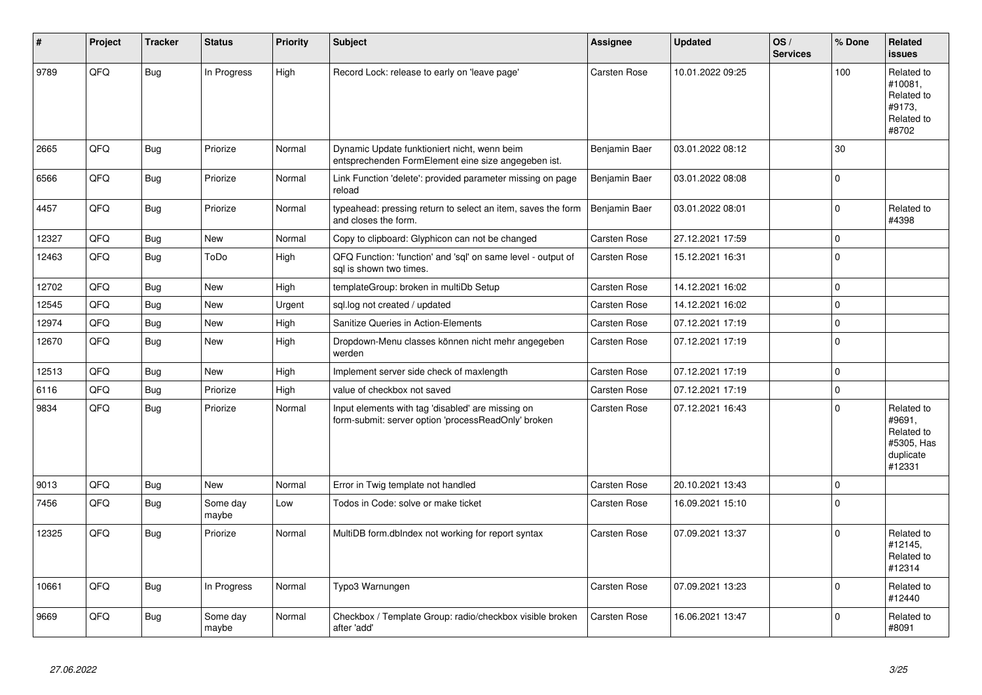| #     | Project | <b>Tracker</b> | <b>Status</b>     | <b>Priority</b> | <b>Subject</b>                                                                                           | <b>Assignee</b>     | <b>Updated</b>   | OS/<br><b>Services</b> | % Done      | <b>Related</b><br><b>issues</b>                                         |
|-------|---------|----------------|-------------------|-----------------|----------------------------------------------------------------------------------------------------------|---------------------|------------------|------------------------|-------------|-------------------------------------------------------------------------|
| 9789  | QFQ     | <b>Bug</b>     | In Progress       | High            | Record Lock: release to early on 'leave page'                                                            | Carsten Rose        | 10.01.2022 09:25 |                        | 100         | Related to<br>#10081,<br>Related to<br>#9173,<br>Related to<br>#8702    |
| 2665  | QFQ     | <b>Bug</b>     | Priorize          | Normal          | Dynamic Update funktioniert nicht, wenn beim<br>entsprechenden FormElement eine size angegeben ist.      | Benjamin Baer       | 03.01.2022 08:12 |                        | 30          |                                                                         |
| 6566  | QFQ     | Bug            | Priorize          | Normal          | Link Function 'delete': provided parameter missing on page<br>reload                                     | Benjamin Baer       | 03.01.2022 08:08 |                        | $\mathbf 0$ |                                                                         |
| 4457  | QFQ     | <b>Bug</b>     | Priorize          | Normal          | typeahead: pressing return to select an item, saves the form<br>and closes the form.                     | Benjamin Baer       | 03.01.2022 08:01 |                        | $\mathbf 0$ | Related to<br>#4398                                                     |
| 12327 | QFQ     | <b>Bug</b>     | New               | Normal          | Copy to clipboard: Glyphicon can not be changed                                                          | Carsten Rose        | 27.12.2021 17:59 |                        | $\pmb{0}$   |                                                                         |
| 12463 | QFQ     | <b>Bug</b>     | ToDo              | High            | QFQ Function: 'function' and 'sql' on same level - output of<br>sql is shown two times.                  | Carsten Rose        | 15.12.2021 16:31 |                        | $\mathbf 0$ |                                                                         |
| 12702 | QFQ     | <b>Bug</b>     | New               | High            | templateGroup: broken in multiDb Setup                                                                   | <b>Carsten Rose</b> | 14.12.2021 16:02 |                        | $\pmb{0}$   |                                                                         |
| 12545 | QFQ     | <b>Bug</b>     | <b>New</b>        | Urgent          | sql.log not created / updated                                                                            | Carsten Rose        | 14.12.2021 16:02 |                        | $\mathbf 0$ |                                                                         |
| 12974 | QFQ     | Bug            | New               | High            | Sanitize Queries in Action-Elements                                                                      | Carsten Rose        | 07.12.2021 17:19 |                        | $\pmb{0}$   |                                                                         |
| 12670 | QFQ     | <b>Bug</b>     | <b>New</b>        | High            | Dropdown-Menu classes können nicht mehr angegeben<br>werden                                              | Carsten Rose        | 07.12.2021 17:19 |                        | $\Omega$    |                                                                         |
| 12513 | QFQ     | <b>Bug</b>     | New               | High            | Implement server side check of maxlength                                                                 | <b>Carsten Rose</b> | 07.12.2021 17:19 |                        | $\pmb{0}$   |                                                                         |
| 6116  | QFQ     | <b>Bug</b>     | Priorize          | High            | value of checkbox not saved                                                                              | Carsten Rose        | 07.12.2021 17:19 |                        | $\pmb{0}$   |                                                                         |
| 9834  | QFQ     | <b>Bug</b>     | Priorize          | Normal          | Input elements with tag 'disabled' are missing on<br>form-submit: server option 'processReadOnly' broken | Carsten Rose        | 07.12.2021 16:43 |                        | $\Omega$    | Related to<br>#9691,<br>Related to<br>#5305, Has<br>duplicate<br>#12331 |
| 9013  | QFQ     | <b>Bug</b>     | <b>New</b>        | Normal          | Error in Twig template not handled                                                                       | <b>Carsten Rose</b> | 20.10.2021 13:43 |                        | $\mathbf 0$ |                                                                         |
| 7456  | QFQ     | <b>Bug</b>     | Some day<br>maybe | Low             | Todos in Code: solve or make ticket                                                                      | Carsten Rose        | 16.09.2021 15:10 |                        | $\Omega$    |                                                                         |
| 12325 | QFQ     | <b>Bug</b>     | Priorize          | Normal          | MultiDB form.dblndex not working for report syntax                                                       | Carsten Rose        | 07.09.2021 13:37 |                        | $\mathbf 0$ | Related to<br>#12145,<br>Related to<br>#12314                           |
| 10661 | QFQ     | <b>Bug</b>     | In Progress       | Normal          | Typo3 Warnungen                                                                                          | Carsten Rose        | 07.09.2021 13:23 |                        | $\mathbf 0$ | Related to<br>#12440                                                    |
| 9669  | QFQ     | <b>Bug</b>     | Some day<br>maybe | Normal          | Checkbox / Template Group: radio/checkbox visible broken<br>after 'add'                                  | Carsten Rose        | 16.06.2021 13:47 |                        | $\mathbf 0$ | Related to<br>#8091                                                     |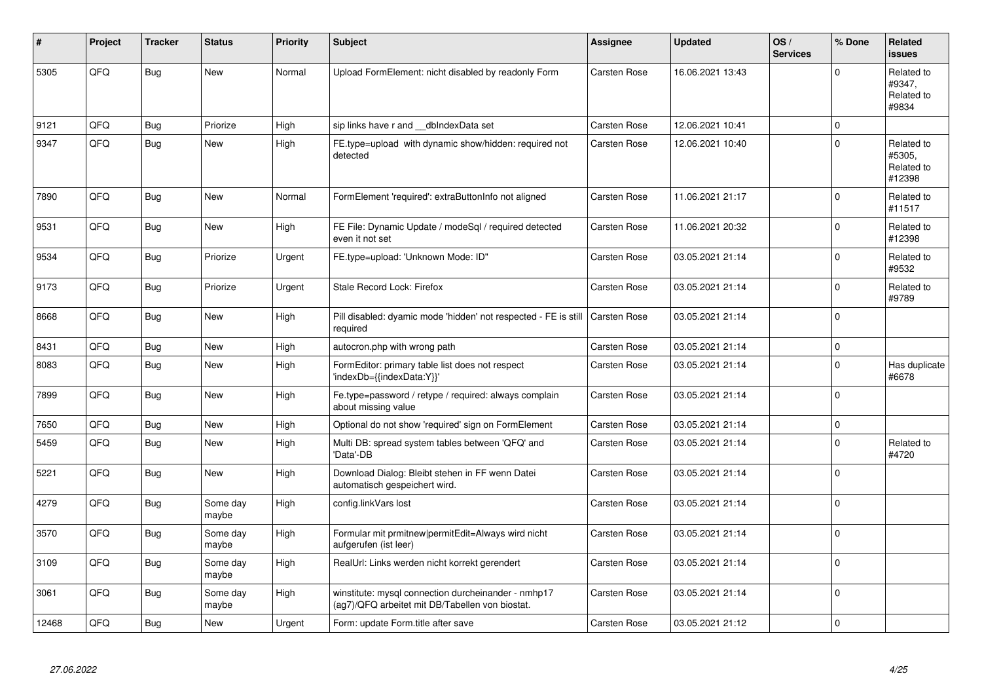| #     | Project | <b>Tracker</b> | <b>Status</b>     | <b>Priority</b> | <b>Subject</b>                                                                                         | <b>Assignee</b>     | <b>Updated</b>   | OS/<br><b>Services</b> | % Done       | <b>Related</b><br><b>issues</b>              |
|-------|---------|----------------|-------------------|-----------------|--------------------------------------------------------------------------------------------------------|---------------------|------------------|------------------------|--------------|----------------------------------------------|
| 5305  | QFQ     | Bug            | <b>New</b>        | Normal          | Upload FormElement: nicht disabled by readonly Form                                                    | Carsten Rose        | 16.06.2021 13:43 |                        | $\Omega$     | Related to<br>#9347,<br>Related to<br>#9834  |
| 9121  | QFQ     | Bug            | Priorize          | High            | sip links have r and __dbIndexData set                                                                 | Carsten Rose        | 12.06.2021 10:41 |                        | $\Omega$     |                                              |
| 9347  | QFQ     | Bug            | <b>New</b>        | High            | FE.type=upload with dynamic show/hidden: required not<br>detected                                      | Carsten Rose        | 12.06.2021 10:40 |                        | $\Omega$     | Related to<br>#5305.<br>Related to<br>#12398 |
| 7890  | QFQ     | <b>Bug</b>     | <b>New</b>        | Normal          | FormElement 'required': extraButtonInfo not aligned                                                    | <b>Carsten Rose</b> | 11.06.2021 21:17 |                        | $\Omega$     | Related to<br>#11517                         |
| 9531  | QFQ     | Bug            | New               | High            | FE File: Dynamic Update / modeSgl / required detected<br>even it not set                               | Carsten Rose        | 11.06.2021 20:32 |                        | $\Omega$     | Related to<br>#12398                         |
| 9534  | QFQ     | Bug            | Priorize          | Urgent          | FE.type=upload: 'Unknown Mode: ID"                                                                     | Carsten Rose        | 03.05.2021 21:14 |                        | <sup>0</sup> | Related to<br>#9532                          |
| 9173  | QFQ     | Bug            | Priorize          | Urgent          | Stale Record Lock: Firefox                                                                             | Carsten Rose        | 03.05.2021 21:14 |                        | $\Omega$     | Related to<br>#9789                          |
| 8668  | QFQ     | Bug            | <b>New</b>        | High            | Pill disabled: dyamic mode 'hidden' not respected - FE is still<br>required                            | <b>Carsten Rose</b> | 03.05.2021 21:14 |                        | $\Omega$     |                                              |
| 8431  | QFQ     | <b>Bug</b>     | <b>New</b>        | High            | autocron.php with wrong path                                                                           | Carsten Rose        | 03.05.2021 21:14 |                        | $\mathbf 0$  |                                              |
| 8083  | QFQ     | Bug            | New               | High            | FormEditor: primary table list does not respect<br>'indexDb={{indexData:Y}}'                           | Carsten Rose        | 03.05.2021 21:14 |                        | 0            | Has duplicate<br>#6678                       |
| 7899  | QFQ     | <b>Bug</b>     | <b>New</b>        | High            | Fe.type=password / retype / required: always complain<br>about missing value                           | Carsten Rose        | 03.05.2021 21:14 |                        | $\Omega$     |                                              |
| 7650  | QFQ     | <b>Bug</b>     | <b>New</b>        | High            | Optional do not show 'required' sign on FormElement                                                    | Carsten Rose        | 03.05.2021 21:14 |                        | $\Omega$     |                                              |
| 5459  | QFQ     | Bug            | New               | High            | Multi DB: spread system tables between 'QFQ' and<br>'Data'-DB                                          | Carsten Rose        | 03.05.2021 21:14 |                        | $\mathbf 0$  | Related to<br>#4720                          |
| 5221  | QFQ     | Bug            | <b>New</b>        | High            | Download Dialog: Bleibt stehen in FF wenn Datei<br>automatisch gespeichert wird.                       | Carsten Rose        | 03.05.2021 21:14 |                        | <sup>0</sup> |                                              |
| 4279  | QFQ     | Bug            | Some day<br>maybe | High            | config.linkVars lost                                                                                   | Carsten Rose        | 03.05.2021 21:14 |                        | $\mathbf{0}$ |                                              |
| 3570  | QFQ     | Bug            | Some day<br>maybe | High            | Formular mit prmitnew permitEdit=Always wird nicht<br>aufgerufen (ist leer)                            | <b>Carsten Rose</b> | 03.05.2021 21:14 |                        | $\Omega$     |                                              |
| 3109  | QFQ     | <b>Bug</b>     | Some day<br>maybe | High            | RealUrl: Links werden nicht korrekt gerendert                                                          | Carsten Rose        | 03.05.2021 21:14 |                        | $\Omega$     |                                              |
| 3061  | QFQ     | Bug            | Some day<br>maybe | High            | winstitute: mysql connection durcheinander - nmhp17<br>(ag7)/QFQ arbeitet mit DB/Tabellen von biostat. | Carsten Rose        | 03.05.2021 21:14 |                        | $\Omega$     |                                              |
| 12468 | QFQ     | <b>Bug</b>     | New               | Urgent          | Form: update Form.title after save                                                                     | Carsten Rose        | 03.05.2021 21:12 |                        | $\mathbf 0$  |                                              |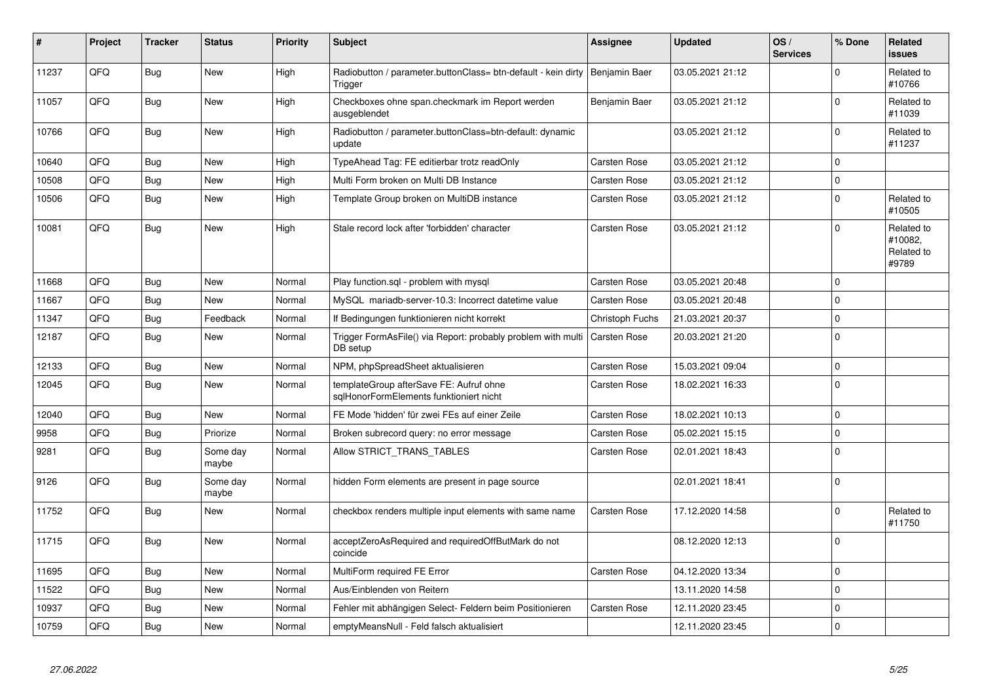| #     | <b>Project</b> | <b>Tracker</b> | <b>Status</b>     | <b>Priority</b> | Subject                                                                            | Assignee            | <b>Updated</b>   | OS/<br><b>Services</b> | % Done       | Related<br><b>issues</b>                     |
|-------|----------------|----------------|-------------------|-----------------|------------------------------------------------------------------------------------|---------------------|------------------|------------------------|--------------|----------------------------------------------|
| 11237 | QFQ            | Bug            | <b>New</b>        | High            | Radiobutton / parameter.buttonClass= btn-default - kein dirty<br>Trigger           | Benjamin Baer       | 03.05.2021 21:12 |                        | $\Omega$     | Related to<br>#10766                         |
| 11057 | QFQ            | Bug            | <b>New</b>        | High            | Checkboxes ohne span.checkmark im Report werden<br>ausgeblendet                    | Benjamin Baer       | 03.05.2021 21:12 |                        | $\mathbf 0$  | Related to<br>#11039                         |
| 10766 | QFQ            | Bug            | <b>New</b>        | High            | Radiobutton / parameter.buttonClass=btn-default: dynamic<br>update                 |                     | 03.05.2021 21:12 |                        | $\mathbf 0$  | Related to<br>#11237                         |
| 10640 | QFQ            | <b>Bug</b>     | <b>New</b>        | High            | TypeAhead Tag: FE editierbar trotz readOnly                                        | Carsten Rose        | 03.05.2021 21:12 |                        | $\mathbf 0$  |                                              |
| 10508 | QFQ            | Bug            | <b>New</b>        | High            | Multi Form broken on Multi DB Instance                                             | <b>Carsten Rose</b> | 03.05.2021 21:12 |                        | $\pmb{0}$    |                                              |
| 10506 | QFQ            | <b>Bug</b>     | <b>New</b>        | High            | Template Group broken on MultiDB instance                                          | Carsten Rose        | 03.05.2021 21:12 |                        | $\mathbf 0$  | Related to<br>#10505                         |
| 10081 | QFQ            | Bug            | New               | High            | Stale record lock after 'forbidden' character                                      | <b>Carsten Rose</b> | 03.05.2021 21:12 |                        | $\Omega$     | Related to<br>#10082,<br>Related to<br>#9789 |
| 11668 | QFQ            | Bug            | <b>New</b>        | Normal          | Play function.sql - problem with mysql                                             | <b>Carsten Rose</b> | 03.05.2021 20:48 |                        | $\mathbf 0$  |                                              |
| 11667 | QFQ            | Bug            | <b>New</b>        | Normal          | MySQL mariadb-server-10.3: Incorrect datetime value                                | Carsten Rose        | 03.05.2021 20:48 |                        | $\mathbf 0$  |                                              |
| 11347 | QFQ            | Bug            | Feedback          | Normal          | If Bedingungen funktionieren nicht korrekt                                         | Christoph Fuchs     | 21.03.2021 20:37 |                        | $\pmb{0}$    |                                              |
| 12187 | QFQ            | <b>Bug</b>     | <b>New</b>        | Normal          | Trigger FormAsFile() via Report: probably problem with multi<br>DB setup           | <b>Carsten Rose</b> | 20.03.2021 21:20 |                        | $\mathbf{0}$ |                                              |
| 12133 | QFQ            | Bug            | <b>New</b>        | Normal          | NPM, phpSpreadSheet aktualisieren                                                  | <b>Carsten Rose</b> | 15.03.2021 09:04 |                        | $\pmb{0}$    |                                              |
| 12045 | QFQ            | Bug            | <b>New</b>        | Normal          | templateGroup afterSave FE: Aufruf ohne<br>sglHonorFormElements funktioniert nicht | Carsten Rose        | 18.02.2021 16:33 |                        | $\mathbf 0$  |                                              |
| 12040 | QFQ            | Bug            | <b>New</b>        | Normal          | FE Mode 'hidden' für zwei FEs auf einer Zeile                                      | <b>Carsten Rose</b> | 18.02.2021 10:13 |                        | $\mathbf 0$  |                                              |
| 9958  | QFQ            | Bug            | Priorize          | Normal          | Broken subrecord query: no error message                                           | Carsten Rose        | 05.02.2021 15:15 |                        | $\pmb{0}$    |                                              |
| 9281  | QFQ            | Bug            | Some day<br>maybe | Normal          | Allow STRICT_TRANS_TABLES                                                          | <b>Carsten Rose</b> | 02.01.2021 18:43 |                        | $\mathbf 0$  |                                              |
| 9126  | QFQ            | <b>Bug</b>     | Some day<br>maybe | Normal          | hidden Form elements are present in page source                                    |                     | 02.01.2021 18:41 |                        | $\Omega$     |                                              |
| 11752 | QFQ            | Bug            | New               | Normal          | checkbox renders multiple input elements with same name                            | <b>Carsten Rose</b> | 17.12.2020 14:58 |                        | $\pmb{0}$    | Related to<br>#11750                         |
| 11715 | QFQ            | <b>Bug</b>     | <b>New</b>        | Normal          | acceptZeroAsRequired and requiredOffButMark do not<br>coincide                     |                     | 08.12.2020 12:13 |                        | $\Omega$     |                                              |
| 11695 | QFQ            | <b>Bug</b>     | New               | Normal          | MultiForm required FE Error                                                        | Carsten Rose        | 04.12.2020 13:34 |                        | $\pmb{0}$    |                                              |
| 11522 | QFQ            | Bug            | <b>New</b>        | Normal          | Aus/Einblenden von Reitern                                                         |                     | 13.11.2020 14:58 |                        | $\mathbf 0$  |                                              |
| 10937 | QFQ            | Bug            | New               | Normal          | Fehler mit abhängigen Select- Feldern beim Positionieren                           | Carsten Rose        | 12.11.2020 23:45 |                        | $\pmb{0}$    |                                              |
| 10759 | QFQ            | Bug            | <b>New</b>        | Normal          | emptyMeansNull - Feld falsch aktualisiert                                          |                     | 12.11.2020 23:45 |                        | $\mathbf 0$  |                                              |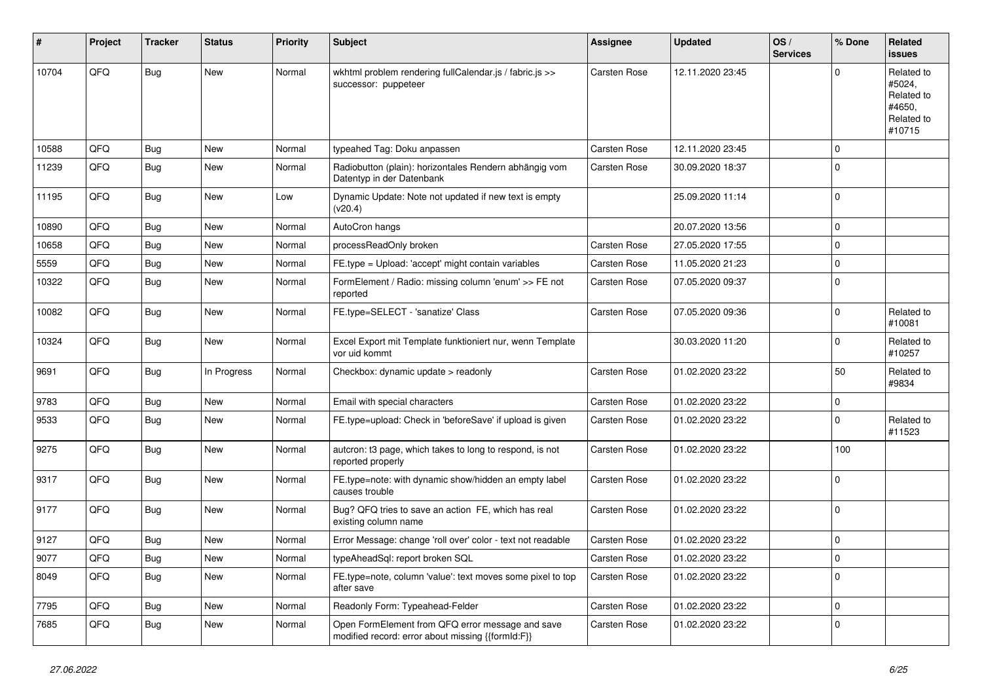| #     | Project | <b>Tracker</b> | <b>Status</b> | <b>Priority</b> | <b>Subject</b>                                                                                        | <b>Assignee</b> | <b>Updated</b>   | OS/<br><b>Services</b> | % Done      | Related<br><b>issues</b>                                             |
|-------|---------|----------------|---------------|-----------------|-------------------------------------------------------------------------------------------------------|-----------------|------------------|------------------------|-------------|----------------------------------------------------------------------|
| 10704 | QFQ     | <b>Bug</b>     | New           | Normal          | wkhtml problem rendering fullCalendar.js / fabric.js >><br>successor: puppeteer                       | Carsten Rose    | 12.11.2020 23:45 |                        | $\Omega$    | Related to<br>#5024,<br>Related to<br>#4650,<br>Related to<br>#10715 |
| 10588 | QFQ     | Bug            | <b>New</b>    | Normal          | typeahed Tag: Doku anpassen                                                                           | Carsten Rose    | 12.11.2020 23:45 |                        | $\Omega$    |                                                                      |
| 11239 | QFQ     | Bug            | New           | Normal          | Radiobutton (plain): horizontales Rendern abhängig vom<br>Datentyp in der Datenbank                   | Carsten Rose    | 30.09.2020 18:37 |                        | $\Omega$    |                                                                      |
| 11195 | QFQ     | <b>Bug</b>     | <b>New</b>    | Low             | Dynamic Update: Note not updated if new text is empty<br>(v20.4)                                      |                 | 25.09.2020 11:14 |                        | $\Omega$    |                                                                      |
| 10890 | QFQ     | Bug            | <b>New</b>    | Normal          | AutoCron hangs                                                                                        |                 | 20.07.2020 13:56 |                        | $\Omega$    |                                                                      |
| 10658 | QFQ     | Bug            | <b>New</b>    | Normal          | processReadOnly broken                                                                                | Carsten Rose    | 27.05.2020 17:55 |                        | $\Omega$    |                                                                      |
| 5559  | QFQ     | <b>Bug</b>     | <b>New</b>    | Normal          | FE.type = Upload: 'accept' might contain variables                                                    | Carsten Rose    | 11.05.2020 21:23 |                        | $\Omega$    |                                                                      |
| 10322 | QFQ     | <b>Bug</b>     | <b>New</b>    | Normal          | FormElement / Radio: missing column 'enum' >> FE not<br>reported                                      | Carsten Rose    | 07.05.2020 09:37 |                        | $\Omega$    |                                                                      |
| 10082 | QFQ     | Bug            | <b>New</b>    | Normal          | FE.type=SELECT - 'sanatize' Class                                                                     | Carsten Rose    | 07.05.2020 09:36 |                        | 0           | Related to<br>#10081                                                 |
| 10324 | QFQ     | <b>Bug</b>     | <b>New</b>    | Normal          | Excel Export mit Template funktioniert nur, wenn Template<br>vor uid kommt                            |                 | 30.03.2020 11:20 |                        | $\Omega$    | Related to<br>#10257                                                 |
| 9691  | QFQ     | <b>Bug</b>     | In Progress   | Normal          | Checkbox: dynamic update > readonly                                                                   | Carsten Rose    | 01.02.2020 23:22 |                        | 50          | Related to<br>#9834                                                  |
| 9783  | QFQ     | Bug            | <b>New</b>    | Normal          | Email with special characters                                                                         | Carsten Rose    | 01.02.2020 23:22 |                        | $\Omega$    |                                                                      |
| 9533  | QFQ     | <b>Bug</b>     | <b>New</b>    | Normal          | FE.type=upload: Check in 'beforeSave' if upload is given                                              | Carsten Rose    | 01.02.2020 23:22 |                        | $\Omega$    | Related to<br>#11523                                                 |
| 9275  | QFQ     | Bug            | <b>New</b>    | Normal          | autcron: t3 page, which takes to long to respond, is not<br>reported properly                         | Carsten Rose    | 01.02.2020 23:22 |                        | 100         |                                                                      |
| 9317  | QFQ     | Bug            | <b>New</b>    | Normal          | FE.type=note: with dynamic show/hidden an empty label<br>causes trouble                               | Carsten Rose    | 01.02.2020 23:22 |                        | $\Omega$    |                                                                      |
| 9177  | QFQ     | <b>Bug</b>     | New           | Normal          | Bug? QFQ tries to save an action FE, which has real<br>existing column name                           | Carsten Rose    | 01.02.2020 23:22 |                        | $\Omega$    |                                                                      |
| 9127  | QFQ     | <b>Bug</b>     | <b>New</b>    | Normal          | Error Message: change 'roll over' color - text not readable                                           | Carsten Rose    | 01.02.2020 23:22 |                        | $\mathbf 0$ |                                                                      |
| 9077  | QFQ     | <b>Bug</b>     | New           | Normal          | typeAheadSql: report broken SQL                                                                       | Carsten Rose    | 01.02.2020 23:22 |                        | $\Omega$    |                                                                      |
| 8049  | QFQ     | <b>Bug</b>     | New           | Normal          | FE.type=note, column 'value': text moves some pixel to top<br>after save                              | Carsten Rose    | 01.02.2020 23:22 |                        | $\Omega$    |                                                                      |
| 7795  | QFQ     | <b>Bug</b>     | <b>New</b>    | Normal          | Readonly Form: Typeahead-Felder                                                                       | Carsten Rose    | 01.02.2020 23:22 |                        | $\Omega$    |                                                                      |
| 7685  | QFQ     | Bug            | <b>New</b>    | Normal          | Open FormElement from QFQ error message and save<br>modified record: error about missing {{formId:F}} | Carsten Rose    | 01.02.2020 23:22 |                        | $\Omega$    |                                                                      |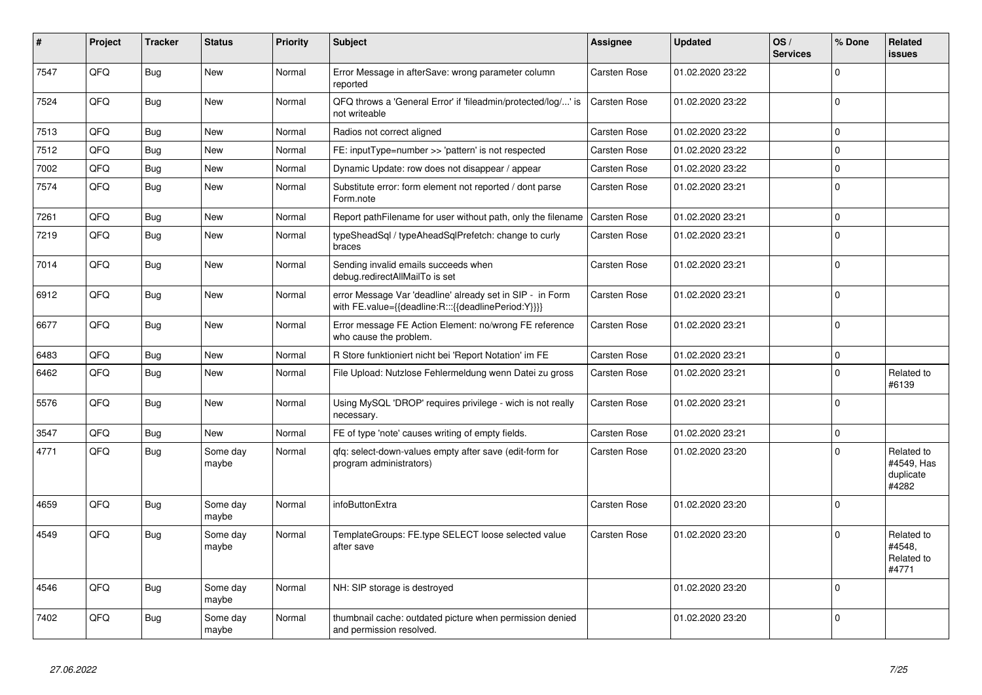| #    | Project | <b>Tracker</b> | <b>Status</b>     | <b>Priority</b> | <b>Subject</b>                                                                                                   | Assignee     | <b>Updated</b>   | OS/<br><b>Services</b> | % Done      | Related<br><b>issues</b>                       |
|------|---------|----------------|-------------------|-----------------|------------------------------------------------------------------------------------------------------------------|--------------|------------------|------------------------|-------------|------------------------------------------------|
| 7547 | QFQ     | <b>Bug</b>     | <b>New</b>        | Normal          | Error Message in afterSave: wrong parameter column<br>reported                                                   | Carsten Rose | 01.02.2020 23:22 |                        | $\Omega$    |                                                |
| 7524 | QFQ     | <b>Bug</b>     | <b>New</b>        | Normal          | QFQ throws a 'General Error' if 'fileadmin/protected/log/' is<br>not writeable                                   | Carsten Rose | 01.02.2020 23:22 |                        | $\mathbf 0$ |                                                |
| 7513 | QFQ     | Bug            | New               | Normal          | Radios not correct aligned                                                                                       | Carsten Rose | 01.02.2020 23:22 |                        | $\mathbf 0$ |                                                |
| 7512 | QFQ     | Bug            | <b>New</b>        | Normal          | FE: inputType=number >> 'pattern' is not respected                                                               | Carsten Rose | 01.02.2020 23:22 |                        | $\mathbf 0$ |                                                |
| 7002 | QFQ     | <b>Bug</b>     | New               | Normal          | Dynamic Update: row does not disappear / appear                                                                  | Carsten Rose | 01.02.2020 23:22 |                        | $\Omega$    |                                                |
| 7574 | QFQ     | <b>Bug</b>     | <b>New</b>        | Normal          | Substitute error: form element not reported / dont parse<br>Form.note                                            | Carsten Rose | 01.02.2020 23:21 |                        | $\mathbf 0$ |                                                |
| 7261 | QFQ     | <b>Bug</b>     | <b>New</b>        | Normal          | Report pathFilename for user without path, only the filename                                                     | Carsten Rose | 01.02.2020 23:21 |                        | $\pmb{0}$   |                                                |
| 7219 | QFQ     | <b>Bug</b>     | <b>New</b>        | Normal          | typeSheadSql / typeAheadSqlPrefetch: change to curly<br>braces                                                   | Carsten Rose | 01.02.2020 23:21 |                        | $\mathbf 0$ |                                                |
| 7014 | QFQ     | <b>Bug</b>     | <b>New</b>        | Normal          | Sending invalid emails succeeds when<br>debug.redirectAllMailTo is set                                           | Carsten Rose | 01.02.2020 23:21 |                        | $\mathbf 0$ |                                                |
| 6912 | QFQ     | Bug            | New               | Normal          | error Message Var 'deadline' already set in SIP - in Form<br>with FE.value={{deadline:R:::{{deadlinePeriod:Y}}}} | Carsten Rose | 01.02.2020 23:21 |                        | $\mathbf 0$ |                                                |
| 6677 | QFQ     | Bug            | <b>New</b>        | Normal          | Error message FE Action Element: no/wrong FE reference<br>who cause the problem.                                 | Carsten Rose | 01.02.2020 23:21 |                        | $\Omega$    |                                                |
| 6483 | QFQ     | <b>Bug</b>     | New               | Normal          | R Store funktioniert nicht bei 'Report Notation' im FE                                                           | Carsten Rose | 01.02.2020 23:21 |                        | $\mathbf 0$ |                                                |
| 6462 | QFQ     | Bug            | <b>New</b>        | Normal          | File Upload: Nutzlose Fehlermeldung wenn Datei zu gross                                                          | Carsten Rose | 01.02.2020 23:21 |                        | $\Omega$    | Related to<br>#6139                            |
| 5576 | QFQ     | Bug            | New               | Normal          | Using MySQL 'DROP' requires privilege - wich is not really<br>necessary.                                         | Carsten Rose | 01.02.2020 23:21 |                        | $\Omega$    |                                                |
| 3547 | QFQ     | Bug            | <b>New</b>        | Normal          | FE of type 'note' causes writing of empty fields.                                                                | Carsten Rose | 01.02.2020 23:21 |                        | $\mathbf 0$ |                                                |
| 4771 | QFQ     | Bug            | Some day<br>maybe | Normal          | qfq: select-down-values empty after save (edit-form for<br>program administrators)                               | Carsten Rose | 01.02.2020 23:20 |                        | $\Omega$    | Related to<br>#4549, Has<br>duplicate<br>#4282 |
| 4659 | QFQ     | <b>Bug</b>     | Some day<br>maybe | Normal          | infoButtonExtra                                                                                                  | Carsten Rose | 01.02.2020 23:20 |                        | $\Omega$    |                                                |
| 4549 | QFQ     | Bug            | Some day<br>maybe | Normal          | TemplateGroups: FE.type SELECT loose selected value<br>after save                                                | Carsten Rose | 01.02.2020 23:20 |                        | $\mathbf 0$ | Related to<br>#4548.<br>Related to<br>#4771    |
| 4546 | QFQ     | Bug            | Some day<br>maybe | Normal          | NH: SIP storage is destroyed                                                                                     |              | 01.02.2020 23:20 |                        | $\Omega$    |                                                |
| 7402 | QFQ     | Bug            | Some day<br>maybe | Normal          | thumbnail cache: outdated picture when permission denied<br>and permission resolved.                             |              | 01.02.2020 23:20 |                        | $\mathbf 0$ |                                                |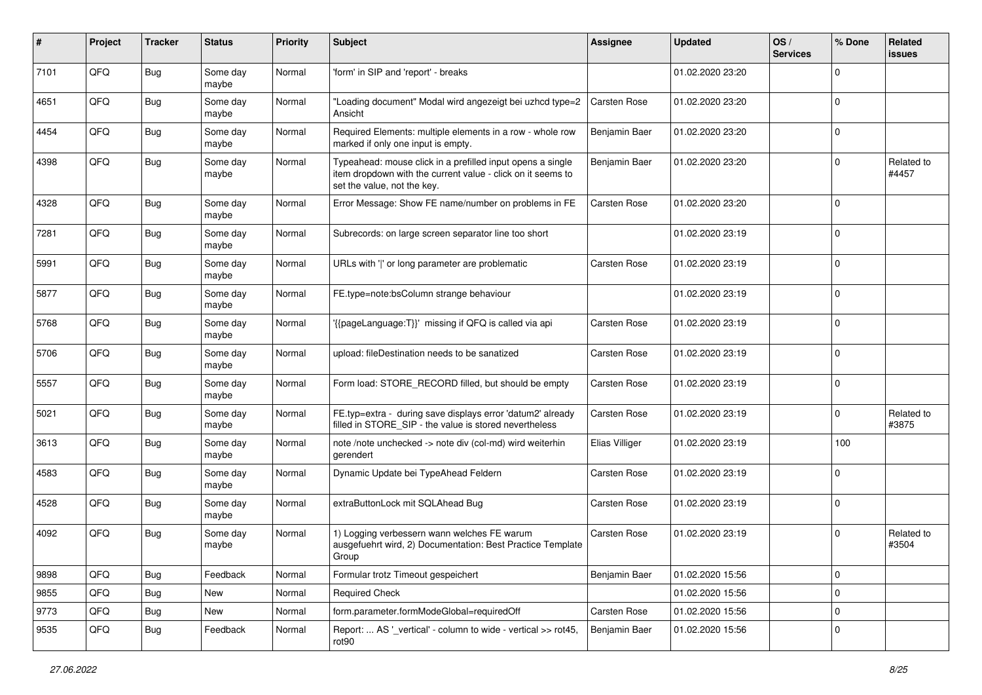| #    | Project | <b>Tracker</b> | <b>Status</b>     | <b>Priority</b> | Subject                                                                                                                                                  | <b>Assignee</b>     | <b>Updated</b>   | OS/<br><b>Services</b> | % Done      | Related<br>issues   |
|------|---------|----------------|-------------------|-----------------|----------------------------------------------------------------------------------------------------------------------------------------------------------|---------------------|------------------|------------------------|-------------|---------------------|
| 7101 | QFQ     | Bug            | Some day<br>maybe | Normal          | 'form' in SIP and 'report' - breaks                                                                                                                      |                     | 01.02.2020 23:20 |                        | $\Omega$    |                     |
| 4651 | QFQ     | Bug            | Some day<br>maybe | Normal          | "Loading document" Modal wird angezeigt bei uzhcd type=2<br>Ansicht                                                                                      | <b>Carsten Rose</b> | 01.02.2020 23:20 |                        | $\mathbf 0$ |                     |
| 4454 | QFQ     | Bug            | Some day<br>maybe | Normal          | Required Elements: multiple elements in a row - whole row<br>marked if only one input is empty.                                                          | Benjamin Baer       | 01.02.2020 23:20 |                        | $\mathbf 0$ |                     |
| 4398 | QFQ     | Bug            | Some day<br>maybe | Normal          | Typeahead: mouse click in a prefilled input opens a single<br>item dropdown with the current value - click on it seems to<br>set the value, not the key. | Benjamin Baer       | 01.02.2020 23:20 |                        | $\mathbf 0$ | Related to<br>#4457 |
| 4328 | QFQ     | Bug            | Some day<br>maybe | Normal          | Error Message: Show FE name/number on problems in FE                                                                                                     | Carsten Rose        | 01.02.2020 23:20 |                        | $\mathbf 0$ |                     |
| 7281 | QFQ     | Bug            | Some day<br>maybe | Normal          | Subrecords: on large screen separator line too short                                                                                                     |                     | 01.02.2020 23:19 |                        | $\mathbf 0$ |                     |
| 5991 | QFQ     | <b>Bug</b>     | Some day<br>maybe | Normal          | URLs with ' ' or long parameter are problematic                                                                                                          | <b>Carsten Rose</b> | 01.02.2020 23:19 |                        | $\mathbf 0$ |                     |
| 5877 | QFQ     | <b>Bug</b>     | Some day<br>maybe | Normal          | FE.type=note:bsColumn strange behaviour                                                                                                                  |                     | 01.02.2020 23:19 |                        | $\Omega$    |                     |
| 5768 | QFQ     | <b>Bug</b>     | Some day<br>maybe | Normal          | '{{pageLanguage:T}}' missing if QFQ is called via api                                                                                                    | Carsten Rose        | 01.02.2020 23:19 |                        | $\mathbf 0$ |                     |
| 5706 | QFQ     | Bug            | Some day<br>maybe | Normal          | upload: fileDestination needs to be sanatized                                                                                                            | Carsten Rose        | 01.02.2020 23:19 |                        | $\mathbf 0$ |                     |
| 5557 | QFQ     | Bug            | Some day<br>maybe | Normal          | Form load: STORE_RECORD filled, but should be empty                                                                                                      | Carsten Rose        | 01.02.2020 23:19 |                        | $\mathbf 0$ |                     |
| 5021 | QFQ     | Bug            | Some day<br>maybe | Normal          | FE.typ=extra - during save displays error 'datum2' already<br>filled in STORE_SIP - the value is stored nevertheless                                     | Carsten Rose        | 01.02.2020 23:19 |                        | $\mathbf 0$ | Related to<br>#3875 |
| 3613 | QFQ     | Bug            | Some day<br>maybe | Normal          | note /note unchecked -> note div (col-md) wird weiterhin<br>gerendert                                                                                    | Elias Villiger      | 01.02.2020 23:19 |                        | 100         |                     |
| 4583 | QFQ     | <b>Bug</b>     | Some day<br>maybe | Normal          | Dynamic Update bei TypeAhead Feldern                                                                                                                     | Carsten Rose        | 01.02.2020 23:19 |                        | $\Omega$    |                     |
| 4528 | QFQ     | <b>Bug</b>     | Some day<br>maybe | Normal          | extraButtonLock mit SQLAhead Bug                                                                                                                         | Carsten Rose        | 01.02.2020 23:19 |                        | $\mathbf 0$ |                     |
| 4092 | QFQ     | <b>Bug</b>     | Some day<br>maybe | Normal          | 1) Logging verbessern wann welches FE warum<br>ausgefuehrt wird, 2) Documentation: Best Practice Template<br>Group                                       | <b>Carsten Rose</b> | 01.02.2020 23:19 |                        | $\mathbf 0$ | Related to<br>#3504 |
| 9898 | QFQ     | <b>Bug</b>     | Feedback          | Normal          | Formular trotz Timeout gespeichert                                                                                                                       | Benjamin Baer       | 01.02.2020 15:56 |                        | $\mathbf 0$ |                     |
| 9855 | QFQ     | <b>Bug</b>     | New               | Normal          | <b>Required Check</b>                                                                                                                                    |                     | 01.02.2020 15:56 |                        | $\pmb{0}$   |                     |
| 9773 | QFQ     | Bug            | New               | Normal          | form.parameter.formModeGlobal=requiredOff                                                                                                                | Carsten Rose        | 01.02.2020 15:56 |                        | 0           |                     |
| 9535 | QFQ     | <b>Bug</b>     | Feedback          | Normal          | Report:  AS '_vertical' - column to wide - vertical >> rot45,<br>rot90                                                                                   | Benjamin Baer       | 01.02.2020 15:56 |                        | 0           |                     |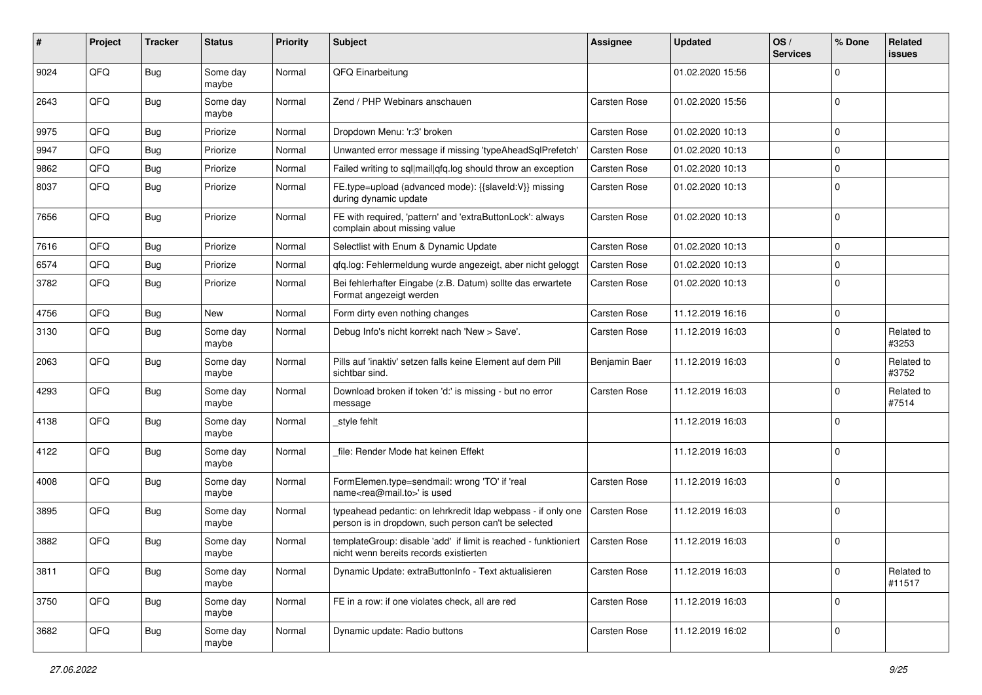| #    | Project | <b>Tracker</b> | <b>Status</b>     | <b>Priority</b> | <b>Subject</b>                                                                                                       | <b>Assignee</b> | <b>Updated</b>   | OS/<br><b>Services</b> | % Done      | Related<br>issues    |
|------|---------|----------------|-------------------|-----------------|----------------------------------------------------------------------------------------------------------------------|-----------------|------------------|------------------------|-------------|----------------------|
| 9024 | QFQ     | Bug            | Some day<br>maybe | Normal          | QFQ Einarbeitung                                                                                                     |                 | 01.02.2020 15:56 |                        | $\Omega$    |                      |
| 2643 | QFQ     | Bug            | Some day<br>maybe | Normal          | Zend / PHP Webinars anschauen                                                                                        | Carsten Rose    | 01.02.2020 15:56 |                        | $\Omega$    |                      |
| 9975 | QFQ     | <b>Bug</b>     | Priorize          | Normal          | Dropdown Menu: 'r:3' broken                                                                                          | Carsten Rose    | 01.02.2020 10:13 |                        | $\Omega$    |                      |
| 9947 | QFQ     | <b>Bug</b>     | Priorize          | Normal          | Unwanted error message if missing 'typeAheadSqlPrefetch'                                                             | Carsten Rose    | 01.02.2020 10:13 |                        | $\Omega$    |                      |
| 9862 | QFQ     | <b>Bug</b>     | Priorize          | Normal          | Failed writing to sql mail qfq.log should throw an exception                                                         | Carsten Rose    | 01.02.2020 10:13 |                        | 0           |                      |
| 8037 | QFQ     | Bug            | Priorize          | Normal          | FE.type=upload (advanced mode): {{slaveId:V}} missing<br>during dynamic update                                       | Carsten Rose    | 01.02.2020 10:13 |                        | $\Omega$    |                      |
| 7656 | QFQ     | <b>Bug</b>     | Priorize          | Normal          | FE with required, 'pattern' and 'extraButtonLock': always<br>complain about missing value                            | Carsten Rose    | 01.02.2020 10:13 |                        | $\mathbf 0$ |                      |
| 7616 | QFQ     | <b>Bug</b>     | Priorize          | Normal          | Selectlist with Enum & Dynamic Update                                                                                | Carsten Rose    | 01.02.2020 10:13 |                        | $\mathbf 0$ |                      |
| 6574 | QFQ     | <b>Bug</b>     | Priorize          | Normal          | qfq.log: Fehlermeldung wurde angezeigt, aber nicht geloggt                                                           | Carsten Rose    | 01.02.2020 10:13 |                        | $\pmb{0}$   |                      |
| 3782 | QFQ     | <b>Bug</b>     | Priorize          | Normal          | Bei fehlerhafter Eingabe (z.B. Datum) sollte das erwartete<br>Format angezeigt werden                                | Carsten Rose    | 01.02.2020 10:13 |                        | $\mathbf 0$ |                      |
| 4756 | QFQ     | <b>Bug</b>     | New               | Normal          | Form dirty even nothing changes                                                                                      | Carsten Rose    | 11.12.2019 16:16 |                        | $\mathbf 0$ |                      |
| 3130 | QFQ     | <b>Bug</b>     | Some day<br>maybe | Normal          | Debug Info's nicht korrekt nach 'New > Save'.                                                                        | Carsten Rose    | 11.12.2019 16:03 |                        | $\Omega$    | Related to<br>#3253  |
| 2063 | QFQ     | Bug            | Some day<br>maybe | Normal          | Pills auf 'inaktiv' setzen falls keine Element auf dem Pill<br>sichtbar sind.                                        | Benjamin Baer   | 11.12.2019 16:03 |                        | $\Omega$    | Related to<br>#3752  |
| 4293 | QFQ     | <b>Bug</b>     | Some day<br>maybe | Normal          | Download broken if token 'd:' is missing - but no error<br>message                                                   | Carsten Rose    | 11.12.2019 16:03 |                        | $\Omega$    | Related to<br>#7514  |
| 4138 | QFQ     | Bug            | Some day<br>maybe | Normal          | style fehlt                                                                                                          |                 | 11.12.2019 16:03 |                        | $\Omega$    |                      |
| 4122 | QFQ     | <b>Bug</b>     | Some day<br>maybe | Normal          | file: Render Mode hat keinen Effekt                                                                                  |                 | 11.12.2019 16:03 |                        | $\mathbf 0$ |                      |
| 4008 | QFQ     | <b>Bug</b>     | Some day<br>maybe | Normal          | FormElemen.type=sendmail: wrong 'TO' if 'real<br>name <rea@mail.to>' is used</rea@mail.to>                           | Carsten Rose    | 11.12.2019 16:03 |                        | $\Omega$    |                      |
| 3895 | QFQ     | <b>Bug</b>     | Some day<br>maybe | Normal          | typeahead pedantic: on lehrkredit Idap webpass - if only one<br>person is in dropdown, such person can't be selected | Carsten Rose    | 11.12.2019 16:03 |                        | $\Omega$    |                      |
| 3882 | QFQ     | <b>Bug</b>     | Some day<br>maybe | Normal          | templateGroup: disable 'add' if limit is reached - funktioniert<br>nicht wenn bereits records existierten            | Carsten Rose    | 11.12.2019 16:03 |                        | $\mathbf 0$ |                      |
| 3811 | QFQ     | <b>Bug</b>     | Some day<br>maybe | Normal          | Dynamic Update: extraButtonInfo - Text aktualisieren                                                                 | Carsten Rose    | 11.12.2019 16:03 |                        | $\mathbf 0$ | Related to<br>#11517 |
| 3750 | QFQ     | Bug            | Some day<br>maybe | Normal          | FE in a row: if one violates check, all are red                                                                      | Carsten Rose    | 11.12.2019 16:03 |                        | $\mathbf 0$ |                      |
| 3682 | QFQ     | Bug            | Some day<br>maybe | Normal          | Dynamic update: Radio buttons                                                                                        | Carsten Rose    | 11.12.2019 16:02 |                        | $\mathbf 0$ |                      |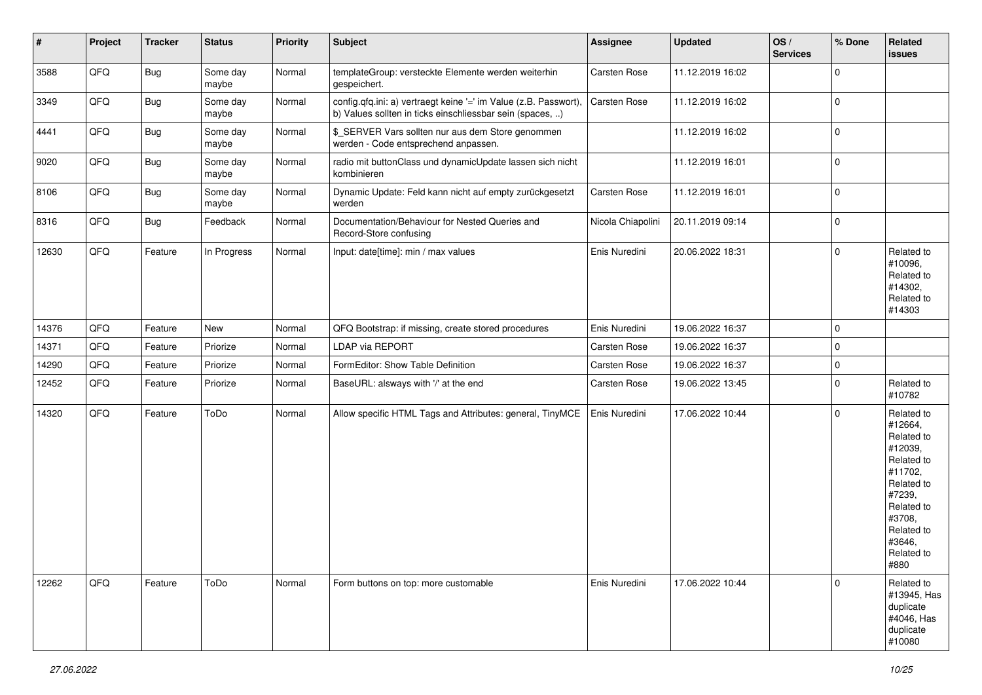| $\vert$ # | Project | <b>Tracker</b> | <b>Status</b>     | <b>Priority</b> | <b>Subject</b>                                                                                                                | <b>Assignee</b>   | <b>Updated</b>   | OS/<br><b>Services</b> | % Done      | Related<br><b>issues</b>                                                                                                                                              |
|-----------|---------|----------------|-------------------|-----------------|-------------------------------------------------------------------------------------------------------------------------------|-------------------|------------------|------------------------|-------------|-----------------------------------------------------------------------------------------------------------------------------------------------------------------------|
| 3588      | QFQ     | Bug            | Some day<br>maybe | Normal          | templateGroup: versteckte Elemente werden weiterhin<br>gespeichert.                                                           | Carsten Rose      | 11.12.2019 16:02 |                        | $\mathbf 0$ |                                                                                                                                                                       |
| 3349      | QFQ     | <b>Bug</b>     | Some day<br>maybe | Normal          | config.qfq.ini: a) vertraegt keine '=' im Value (z.B. Passwort),<br>b) Values sollten in ticks einschliessbar sein (spaces, ) | Carsten Rose      | 11.12.2019 16:02 |                        | $\pmb{0}$   |                                                                                                                                                                       |
| 4441      | QFQ     | <b>Bug</b>     | Some day<br>maybe | Normal          | \$_SERVER Vars sollten nur aus dem Store genommen<br>werden - Code entsprechend anpassen.                                     |                   | 11.12.2019 16:02 |                        | 0           |                                                                                                                                                                       |
| 9020      | QFQ     | <b>Bug</b>     | Some day<br>maybe | Normal          | radio mit buttonClass und dynamicUpdate lassen sich nicht<br>kombinieren                                                      |                   | 11.12.2019 16:01 |                        | $\mathbf 0$ |                                                                                                                                                                       |
| 8106      | QFQ     | <b>Bug</b>     | Some day<br>maybe | Normal          | Dynamic Update: Feld kann nicht auf empty zurückgesetzt<br>werden                                                             | Carsten Rose      | 11.12.2019 16:01 |                        | $\mathbf 0$ |                                                                                                                                                                       |
| 8316      | QFQ     | Bug            | Feedback          | Normal          | Documentation/Behaviour for Nested Queries and<br>Record-Store confusing                                                      | Nicola Chiapolini | 20.11.2019 09:14 |                        | $\mathbf 0$ |                                                                                                                                                                       |
| 12630     | QFQ     | Feature        | In Progress       | Normal          | Input: date[time]: min / max values                                                                                           | Enis Nuredini     | 20.06.2022 18:31 |                        | $\mathbf 0$ | Related to<br>#10096,<br>Related to<br>#14302,<br>Related to<br>#14303                                                                                                |
| 14376     | QFQ     | Feature        | New               | Normal          | QFQ Bootstrap: if missing, create stored procedures                                                                           | Enis Nuredini     | 19.06.2022 16:37 |                        | $\pmb{0}$   |                                                                                                                                                                       |
| 14371     | QFQ     | Feature        | Priorize          | Normal          | LDAP via REPORT                                                                                                               | Carsten Rose      | 19.06.2022 16:37 |                        | $\pmb{0}$   |                                                                                                                                                                       |
| 14290     | QFQ     | Feature        | Priorize          | Normal          | FormEditor: Show Table Definition                                                                                             | Carsten Rose      | 19.06.2022 16:37 |                        | $\pmb{0}$   |                                                                                                                                                                       |
| 12452     | QFQ     | Feature        | Priorize          | Normal          | BaseURL: alsways with '/' at the end                                                                                          | Carsten Rose      | 19.06.2022 13:45 |                        | 0           | Related to<br>#10782                                                                                                                                                  |
| 14320     | QFQ     | Feature        | ToDo              | Normal          | Allow specific HTML Tags and Attributes: general, TinyMCE                                                                     | Enis Nuredini     | 17.06.2022 10:44 |                        | $\mathbf 0$ | Related to<br>#12664,<br>Related to<br>#12039,<br>Related to<br>#11702,<br>Related to<br>#7239,<br>Related to<br>#3708,<br>Related to<br>#3646,<br>Related to<br>#880 |
| 12262     | QFQ     | Feature        | ToDo              | Normal          | Form buttons on top: more customable                                                                                          | Enis Nuredini     | 17.06.2022 10:44 |                        | $\mathbf 0$ | Related to<br>#13945, Has<br>duplicate<br>#4046, Has<br>duplicate<br>#10080                                                                                           |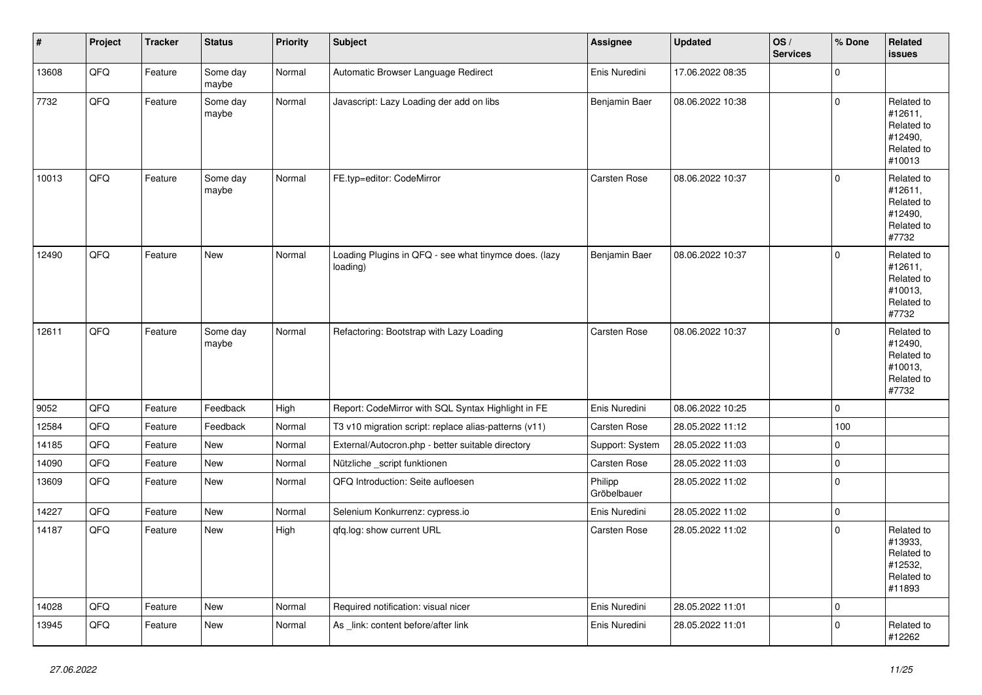| $\vert$ # | Project | <b>Tracker</b> | <b>Status</b>     | <b>Priority</b> | <b>Subject</b>                                                    | Assignee               | <b>Updated</b>   | OS/<br><b>Services</b> | % Done              | Related<br><b>issues</b>                                               |
|-----------|---------|----------------|-------------------|-----------------|-------------------------------------------------------------------|------------------------|------------------|------------------------|---------------------|------------------------------------------------------------------------|
| 13608     | QFQ     | Feature        | Some day<br>maybe | Normal          | Automatic Browser Language Redirect                               | Enis Nuredini          | 17.06.2022 08:35 |                        | $\overline{0}$      |                                                                        |
| 7732      | QFQ     | Feature        | Some day<br>maybe | Normal          | Javascript: Lazy Loading der add on libs                          | Benjamin Baer          | 08.06.2022 10:38 |                        | 0                   | Related to<br>#12611,<br>Related to<br>#12490,<br>Related to<br>#10013 |
| 10013     | QFQ     | Feature        | Some day<br>maybe | Normal          | FE.typ=editor: CodeMirror                                         | <b>Carsten Rose</b>    | 08.06.2022 10:37 |                        | $\mathbf{0}$        | Related to<br>#12611,<br>Related to<br>#12490,<br>Related to<br>#7732  |
| 12490     | QFQ     | Feature        | New               | Normal          | Loading Plugins in QFQ - see what tinymce does. (lazy<br>loading) | Benjamin Baer          | 08.06.2022 10:37 |                        | $\Omega$            | Related to<br>#12611,<br>Related to<br>#10013,<br>Related to<br>#7732  |
| 12611     | QFQ     | Feature        | Some day<br>maybe | Normal          | Refactoring: Bootstrap with Lazy Loading                          | Carsten Rose           | 08.06.2022 10:37 |                        | $\overline{0}$      | Related to<br>#12490,<br>Related to<br>#10013,<br>Related to<br>#7732  |
| 9052      | QFQ     | Feature        | Feedback          | High            | Report: CodeMirror with SQL Syntax Highlight in FE                | Enis Nuredini          | 08.06.2022 10:25 |                        | 0                   |                                                                        |
| 12584     | QFQ     | Feature        | Feedback          | Normal          | T3 v10 migration script: replace alias-patterns (v11)             | Carsten Rose           | 28.05.2022 11:12 |                        | 100                 |                                                                        |
| 14185     | QFQ     | Feature        | New               | Normal          | External/Autocron.php - better suitable directory                 | Support: System        | 28.05.2022 11:03 |                        | 0                   |                                                                        |
| 14090     | QFQ     | Feature        | <b>New</b>        | Normal          | Nützliche _script funktionen                                      | Carsten Rose           | 28.05.2022 11:03 |                        | $\mathsf{O}\xspace$ |                                                                        |
| 13609     | QFQ     | Feature        | New               | Normal          | QFQ Introduction: Seite aufloesen                                 | Philipp<br>Gröbelbauer | 28.05.2022 11:02 |                        | $\Omega$            |                                                                        |
| 14227     | QFQ     | Feature        | New               | Normal          | Selenium Konkurrenz: cypress.io                                   | Enis Nuredini          | 28.05.2022 11:02 |                        | $\overline{0}$      |                                                                        |
| 14187     | QFQ     | Feature        | New               | High            | gfg.log: show current URL                                         | <b>Carsten Rose</b>    | 28.05.2022 11:02 |                        | $\mathbf 0$         | Related to<br>#13933,<br>Related to<br>#12532,<br>Related to<br>#11893 |
| 14028     | QFQ     | Feature        | New               | Normal          | Required notification: visual nicer                               | Enis Nuredini          | 28.05.2022 11:01 |                        | $\mathsf{O}\xspace$ |                                                                        |
| 13945     | QFQ     | Feature        | New               | Normal          | As _link: content before/after link                               | Enis Nuredini          | 28.05.2022 11:01 |                        | $\mathbf{0}$        | Related to<br>#12262                                                   |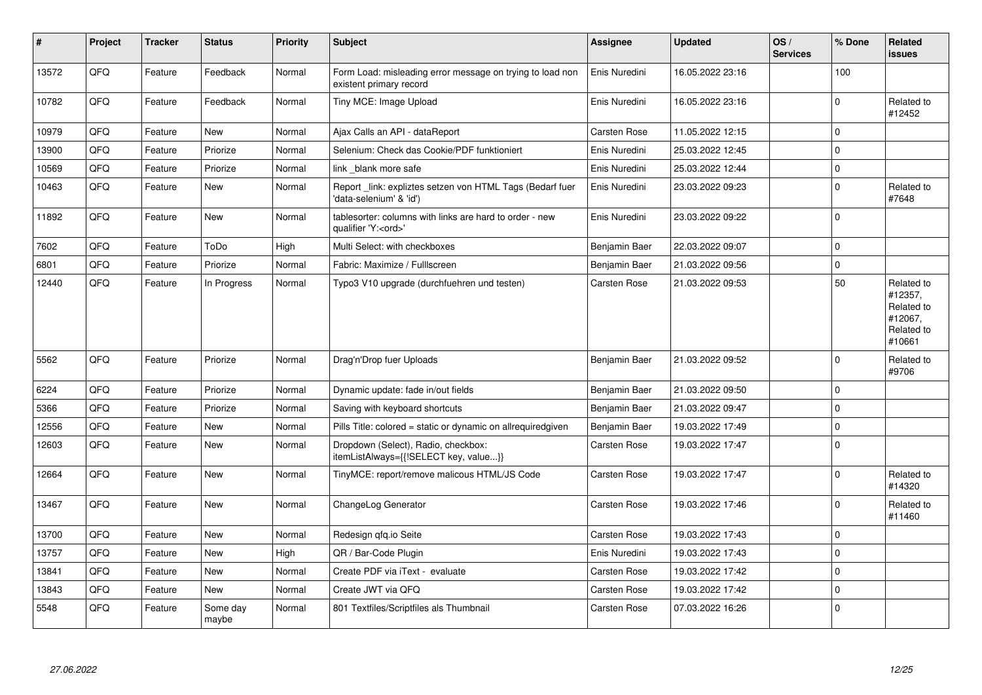| $\sharp$ | Project | <b>Tracker</b> | <b>Status</b>     | <b>Priority</b> | <b>Subject</b>                                                                        | Assignee            | <b>Updated</b>   | OS/<br><b>Services</b> | % Done      | Related<br><b>issues</b>                                               |
|----------|---------|----------------|-------------------|-----------------|---------------------------------------------------------------------------------------|---------------------|------------------|------------------------|-------------|------------------------------------------------------------------------|
| 13572    | QFQ     | Feature        | Feedback          | Normal          | Form Load: misleading error message on trying to load non<br>existent primary record  | Enis Nuredini       | 16.05.2022 23:16 |                        | 100         |                                                                        |
| 10782    | QFQ     | Feature        | Feedback          | Normal          | Tiny MCE: Image Upload                                                                | Enis Nuredini       | 16.05.2022 23:16 |                        | $\Omega$    | Related to<br>#12452                                                   |
| 10979    | QFQ     | Feature        | <b>New</b>        | Normal          | Ajax Calls an API - dataReport                                                        | Carsten Rose        | 11.05.2022 12:15 |                        | $\mathbf 0$ |                                                                        |
| 13900    | QFQ     | Feature        | Priorize          | Normal          | Selenium: Check das Cookie/PDF funktioniert                                           | Enis Nuredini       | 25.03.2022 12:45 |                        | $\Omega$    |                                                                        |
| 10569    | QFQ     | Feature        | Priorize          | Normal          | link blank more safe                                                                  | Enis Nuredini       | 25.03.2022 12:44 |                        | $\mathbf 0$ |                                                                        |
| 10463    | QFQ     | Feature        | <b>New</b>        | Normal          | Report _link: expliztes setzen von HTML Tags (Bedarf fuer<br>'data-selenium' & 'id')  | Enis Nuredini       | 23.03.2022 09:23 |                        | $\mathbf 0$ | Related to<br>#7648                                                    |
| 11892    | QFQ     | Feature        | New               | Normal          | tablesorter: columns with links are hard to order - new<br>qualifier 'Y: <ord>'</ord> | Enis Nuredini       | 23.03.2022 09:22 |                        | $\Omega$    |                                                                        |
| 7602     | QFQ     | Feature        | ToDo              | High            | Multi Select: with checkboxes                                                         | Benjamin Baer       | 22.03.2022 09:07 |                        | $\mathbf 0$ |                                                                        |
| 6801     | QFQ     | Feature        | Priorize          | Normal          | Fabric: Maximize / Fulllscreen                                                        | Benjamin Baer       | 21.03.2022 09:56 |                        | $\mathbf 0$ |                                                                        |
| 12440    | QFQ     | Feature        | In Progress       | Normal          | Typo3 V10 upgrade (durchfuehren und testen)                                           | Carsten Rose        | 21.03.2022 09:53 |                        | 50          | Related to<br>#12357,<br>Related to<br>#12067,<br>Related to<br>#10661 |
| 5562     | QFQ     | Feature        | Priorize          | Normal          | Drag'n'Drop fuer Uploads                                                              | Benjamin Baer       | 21.03.2022 09:52 |                        | $\Omega$    | Related to<br>#9706                                                    |
| 6224     | QFQ     | Feature        | Priorize          | Normal          | Dynamic update: fade in/out fields                                                    | Benjamin Baer       | 21.03.2022 09:50 |                        | $\Omega$    |                                                                        |
| 5366     | QFQ     | Feature        | Priorize          | Normal          | Saving with keyboard shortcuts                                                        | Benjamin Baer       | 21.03.2022 09:47 |                        | $\Omega$    |                                                                        |
| 12556    | QFQ     | Feature        | <b>New</b>        | Normal          | Pills Title: colored = static or dynamic on allrequiredgiven                          | Benjamin Baer       | 19.03.2022 17:49 |                        | $\mathbf 0$ |                                                                        |
| 12603    | QFQ     | Feature        | New               | Normal          | Dropdown (Select), Radio, checkbox:<br>itemListAlways={{!SELECT key, value}}          | Carsten Rose        | 19.03.2022 17:47 |                        | $\mathbf 0$ |                                                                        |
| 12664    | QFQ     | Feature        | <b>New</b>        | Normal          | TinyMCE: report/remove malicous HTML/JS Code                                          | Carsten Rose        | 19.03.2022 17:47 |                        | $\mathbf 0$ | Related to<br>#14320                                                   |
| 13467    | QFQ     | Feature        | New               | Normal          | ChangeLog Generator                                                                   | Carsten Rose        | 19.03.2022 17:46 |                        | $\mathbf 0$ | Related to<br>#11460                                                   |
| 13700    | QFQ     | Feature        | <b>New</b>        | Normal          | Redesign qfq.io Seite                                                                 | <b>Carsten Rose</b> | 19.03.2022 17:43 |                        | $\mathbf 0$ |                                                                        |
| 13757    | QFQ     | Feature        | New               | High            | QR / Bar-Code Plugin                                                                  | Enis Nuredini       | 19.03.2022 17:43 |                        | $\Omega$    |                                                                        |
| 13841    | QFQ     | Feature        | <b>New</b>        | Normal          | Create PDF via iText - evaluate                                                       | <b>Carsten Rose</b> | 19.03.2022 17:42 |                        | $\mathbf 0$ |                                                                        |
| 13843    | QFQ     | Feature        | New               | Normal          | Create JWT via QFQ                                                                    | <b>Carsten Rose</b> | 19.03.2022 17:42 |                        | $\mathbf 0$ |                                                                        |
| 5548     | QFQ     | Feature        | Some day<br>maybe | Normal          | 801 Textfiles/Scriptfiles als Thumbnail                                               | Carsten Rose        | 07.03.2022 16:26 |                        | $\mathbf 0$ |                                                                        |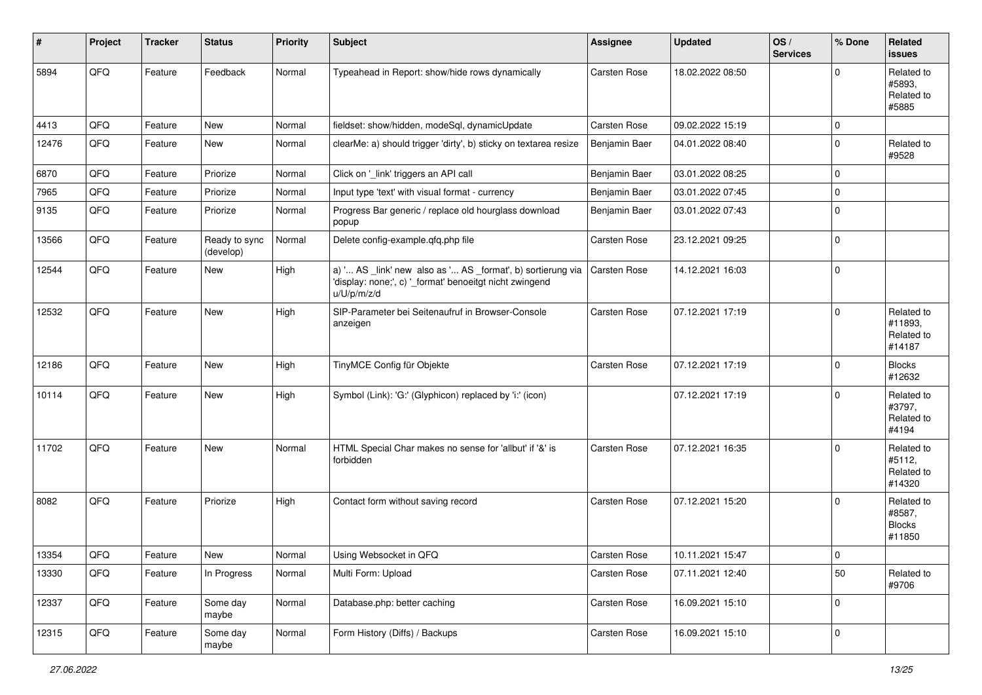| #     | Project        | <b>Tracker</b> | <b>Status</b>              | <b>Priority</b> | <b>Subject</b>                                                                                                                        | Assignee            | <b>Updated</b>   | OS/<br><b>Services</b> | % Done      | Related<br><b>issues</b>                        |
|-------|----------------|----------------|----------------------------|-----------------|---------------------------------------------------------------------------------------------------------------------------------------|---------------------|------------------|------------------------|-------------|-------------------------------------------------|
| 5894  | QFQ            | Feature        | Feedback                   | Normal          | Typeahead in Report: show/hide rows dynamically                                                                                       | Carsten Rose        | 18.02.2022 08:50 |                        | $\Omega$    | Related to<br>#5893.<br>Related to<br>#5885     |
| 4413  | QFQ            | Feature        | New                        | Normal          | fieldset: show/hidden, modeSql, dynamicUpdate                                                                                         | Carsten Rose        | 09.02.2022 15:19 |                        | 0           |                                                 |
| 12476 | QFQ            | Feature        | New                        | Normal          | clearMe: a) should trigger 'dirty', b) sticky on textarea resize                                                                      | Benjamin Baer       | 04.01.2022 08:40 |                        | $\mathbf 0$ | Related to<br>#9528                             |
| 6870  | QFQ            | Feature        | Priorize                   | Normal          | Click on '_link' triggers an API call                                                                                                 | Benjamin Baer       | 03.01.2022 08:25 |                        | $\mathbf 0$ |                                                 |
| 7965  | QFQ            | Feature        | Priorize                   | Normal          | Input type 'text' with visual format - currency                                                                                       | Benjamin Baer       | 03.01.2022 07:45 |                        | $\mathbf 0$ |                                                 |
| 9135  | QFQ            | Feature        | Priorize                   | Normal          | Progress Bar generic / replace old hourglass download<br>popup                                                                        | Benjamin Baer       | 03.01.2022 07:43 |                        | $\mathbf 0$ |                                                 |
| 13566 | QFQ            | Feature        | Ready to sync<br>(develop) | Normal          | Delete config-example.qfq.php file                                                                                                    | Carsten Rose        | 23.12.2021 09:25 |                        | $\mathbf 0$ |                                                 |
| 12544 | QFQ            | Feature        | New                        | High            | a) ' AS _link' new also as ' AS _format', b) sortierung via<br>'display: none;', c) '_format' benoeitgt nicht zwingend<br>u/U/p/m/z/d | <b>Carsten Rose</b> | 14.12.2021 16:03 |                        | $\mathbf 0$ |                                                 |
| 12532 | QFQ            | Feature        | New                        | High            | SIP-Parameter bei Seitenaufruf in Browser-Console<br>anzeigen                                                                         | <b>Carsten Rose</b> | 07.12.2021 17:19 |                        | $\Omega$    | Related to<br>#11893,<br>Related to<br>#14187   |
| 12186 | QFQ            | Feature        | New                        | High            | TinyMCE Config für Objekte                                                                                                            | <b>Carsten Rose</b> | 07.12.2021 17:19 |                        | $\mathbf 0$ | <b>Blocks</b><br>#12632                         |
| 10114 | QFQ            | Feature        | <b>New</b>                 | High            | Symbol (Link): 'G:' (Glyphicon) replaced by 'i:' (icon)                                                                               |                     | 07.12.2021 17:19 |                        | $\Omega$    | Related to<br>#3797,<br>Related to<br>#4194     |
| 11702 | QFQ            | Feature        | New                        | Normal          | HTML Special Char makes no sense for 'allbut' if '&' is<br>forbidden                                                                  | <b>Carsten Rose</b> | 07.12.2021 16:35 |                        | $\Omega$    | Related to<br>#5112,<br>Related to<br>#14320    |
| 8082  | QFQ            | Feature        | Priorize                   | High            | Contact form without saving record                                                                                                    | <b>Carsten Rose</b> | 07.12.2021 15:20 |                        | $\mathbf 0$ | Related to<br>#8587,<br><b>Blocks</b><br>#11850 |
| 13354 | $\mathsf{QFQ}$ | Feature        | New                        | Normal          | Using Websocket in QFQ                                                                                                                | Carsten Rose        | 10.11.2021 15:47 |                        | 0           |                                                 |
| 13330 | QFQ            | Feature        | In Progress                | Normal          | Multi Form: Upload                                                                                                                    | <b>Carsten Rose</b> | 07.11.2021 12:40 |                        | 50          | Related to<br>#9706                             |
| 12337 | QFG            | Feature        | Some day<br>maybe          | Normal          | Database.php: better caching                                                                                                          | Carsten Rose        | 16.09.2021 15:10 |                        | $\mathbf 0$ |                                                 |
| 12315 | QFG            | Feature        | Some day<br>maybe          | Normal          | Form History (Diffs) / Backups                                                                                                        | Carsten Rose        | 16.09.2021 15:10 |                        | 0           |                                                 |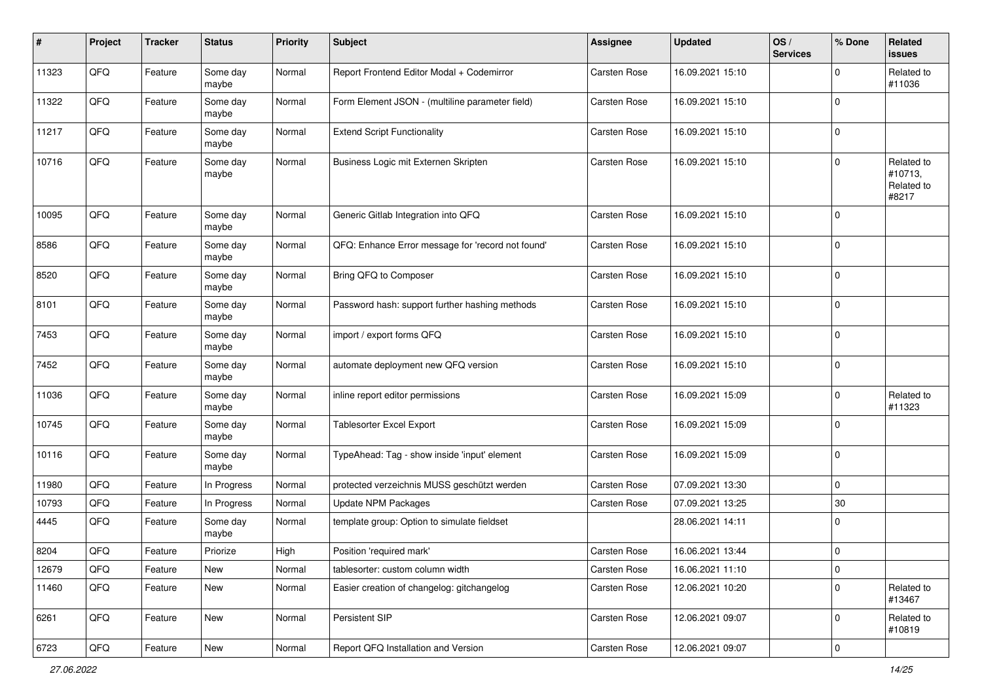| $\sharp$ | Project        | <b>Tracker</b> | <b>Status</b>     | <b>Priority</b> | Subject                                           | <b>Assignee</b>     | <b>Updated</b>   | OS/<br><b>Services</b> | % Done      | Related<br>issues                            |
|----------|----------------|----------------|-------------------|-----------------|---------------------------------------------------|---------------------|------------------|------------------------|-------------|----------------------------------------------|
| 11323    | QFQ            | Feature        | Some day<br>maybe | Normal          | Report Frontend Editor Modal + Codemirror         | Carsten Rose        | 16.09.2021 15:10 |                        | $\mathbf 0$ | Related to<br>#11036                         |
| 11322    | QFQ            | Feature        | Some day<br>maybe | Normal          | Form Element JSON - (multiline parameter field)   | <b>Carsten Rose</b> | 16.09.2021 15:10 |                        | $\mathbf 0$ |                                              |
| 11217    | QFQ            | Feature        | Some day<br>maybe | Normal          | <b>Extend Script Functionality</b>                | Carsten Rose        | 16.09.2021 15:10 |                        | 0           |                                              |
| 10716    | QFQ            | Feature        | Some day<br>maybe | Normal          | Business Logic mit Externen Skripten              | Carsten Rose        | 16.09.2021 15:10 |                        | 0           | Related to<br>#10713,<br>Related to<br>#8217 |
| 10095    | QFQ            | Feature        | Some day<br>maybe | Normal          | Generic Gitlab Integration into QFQ               | Carsten Rose        | 16.09.2021 15:10 |                        | 0           |                                              |
| 8586     | QFQ            | Feature        | Some day<br>maybe | Normal          | QFQ: Enhance Error message for 'record not found' | Carsten Rose        | 16.09.2021 15:10 |                        | $\mathbf 0$ |                                              |
| 8520     | QFQ            | Feature        | Some day<br>maybe | Normal          | Bring QFQ to Composer                             | Carsten Rose        | 16.09.2021 15:10 |                        | 0           |                                              |
| 8101     | QFQ            | Feature        | Some day<br>maybe | Normal          | Password hash: support further hashing methods    | Carsten Rose        | 16.09.2021 15:10 |                        | 0           |                                              |
| 7453     | QFQ            | Feature        | Some day<br>maybe | Normal          | import / export forms QFQ                         | Carsten Rose        | 16.09.2021 15:10 |                        | 0           |                                              |
| 7452     | QFQ            | Feature        | Some day<br>maybe | Normal          | automate deployment new QFQ version               | Carsten Rose        | 16.09.2021 15:10 |                        | 0           |                                              |
| 11036    | QFQ            | Feature        | Some day<br>maybe | Normal          | inline report editor permissions                  | <b>Carsten Rose</b> | 16.09.2021 15:09 |                        | 0           | Related to<br>#11323                         |
| 10745    | QFQ            | Feature        | Some day<br>maybe | Normal          | Tablesorter Excel Export                          | Carsten Rose        | 16.09.2021 15:09 |                        | 0           |                                              |
| 10116    | QFQ            | Feature        | Some day<br>maybe | Normal          | TypeAhead: Tag - show inside 'input' element      | Carsten Rose        | 16.09.2021 15:09 |                        | 0           |                                              |
| 11980    | QFQ            | Feature        | In Progress       | Normal          | protected verzeichnis MUSS geschützt werden       | Carsten Rose        | 07.09.2021 13:30 |                        | 0           |                                              |
| 10793    | QFQ            | Feature        | In Progress       | Normal          | <b>Update NPM Packages</b>                        | Carsten Rose        | 07.09.2021 13:25 |                        | $30\,$      |                                              |
| 4445     | QFQ            | Feature        | Some day<br>maybe | Normal          | template group: Option to simulate fieldset       |                     | 28.06.2021 14:11 |                        | 0           |                                              |
| 8204     | QFQ            | Feature        | Priorize          | High            | Position 'required mark'                          | <b>Carsten Rose</b> | 16.06.2021 13:44 |                        | 0           |                                              |
| 12679    | QFQ            | Feature        | <b>New</b>        | Normal          | tablesorter: custom column width                  | Carsten Rose        | 16.06.2021 11:10 |                        | 0           |                                              |
| 11460    | QFQ            | Feature        | New               | Normal          | Easier creation of changelog: gitchangelog        | Carsten Rose        | 12.06.2021 10:20 |                        | 0           | Related to<br>#13467                         |
| 6261     | QFQ            | Feature        | New               | Normal          | Persistent SIP                                    | Carsten Rose        | 12.06.2021 09:07 |                        | 0           | Related to<br>#10819                         |
| 6723     | $\mathsf{QFQ}$ | Feature        | New               | Normal          | Report QFQ Installation and Version               | Carsten Rose        | 12.06.2021 09:07 |                        | $\pmb{0}$   |                                              |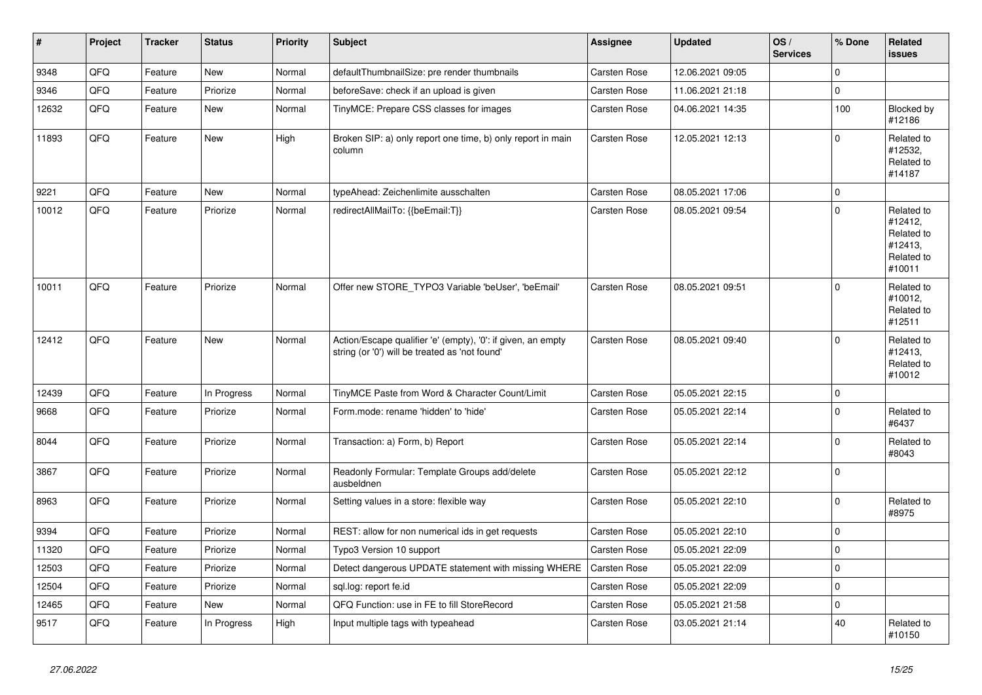| $\vert$ # | <b>Project</b> | <b>Tracker</b> | <b>Status</b> | <b>Priority</b> | <b>Subject</b>                                                                                                 | Assignee            | <b>Updated</b>   | OS/<br><b>Services</b> | % Done      | <b>Related</b><br><b>issues</b>                                        |
|-----------|----------------|----------------|---------------|-----------------|----------------------------------------------------------------------------------------------------------------|---------------------|------------------|------------------------|-------------|------------------------------------------------------------------------|
| 9348      | QFQ            | Feature        | <b>New</b>    | Normal          | defaultThumbnailSize: pre render thumbnails                                                                    | Carsten Rose        | 12.06.2021 09:05 |                        | 0           |                                                                        |
| 9346      | QFQ            | Feature        | Priorize      | Normal          | beforeSave: check if an upload is given                                                                        | Carsten Rose        | 11.06.2021 21:18 |                        | 0           |                                                                        |
| 12632     | QFO            | Feature        | <b>New</b>    | Normal          | TinyMCE: Prepare CSS classes for images                                                                        | Carsten Rose        | 04.06.2021 14:35 |                        | 100         | Blocked by<br>#12186                                                   |
| 11893     | QFQ            | Feature        | <b>New</b>    | High            | Broken SIP: a) only report one time, b) only report in main<br>column                                          | Carsten Rose        | 12.05.2021 12:13 |                        | 0           | Related to<br>#12532,<br>Related to<br>#14187                          |
| 9221      | QFQ            | Feature        | <b>New</b>    | Normal          | typeAhead: Zeichenlimite ausschalten                                                                           | Carsten Rose        | 08.05.2021 17:06 |                        | $\Omega$    |                                                                        |
| 10012     | QFQ            | Feature        | Priorize      | Normal          | redirectAllMailTo: {{beEmail:T}}                                                                               | <b>Carsten Rose</b> | 08.05.2021 09:54 |                        | $\Omega$    | Related to<br>#12412,<br>Related to<br>#12413,<br>Related to<br>#10011 |
| 10011     | QFQ            | Feature        | Priorize      | Normal          | Offer new STORE_TYPO3 Variable 'beUser', 'beEmail'                                                             | <b>Carsten Rose</b> | 08.05.2021 09:51 |                        | $\Omega$    | Related to<br>#10012,<br>Related to<br>#12511                          |
| 12412     | QFQ            | Feature        | <b>New</b>    | Normal          | Action/Escape qualifier 'e' (empty), '0': if given, an empty<br>string (or '0') will be treated as 'not found' | <b>Carsten Rose</b> | 08.05.2021 09:40 |                        | $\Omega$    | Related to<br>#12413,<br>Related to<br>#10012                          |
| 12439     | QFQ            | Feature        | In Progress   | Normal          | TinyMCE Paste from Word & Character Count/Limit                                                                | <b>Carsten Rose</b> | 05.05.2021 22:15 |                        | $\Omega$    |                                                                        |
| 9668      | QFQ            | Feature        | Priorize      | Normal          | Form.mode: rename 'hidden' to 'hide'                                                                           | Carsten Rose        | 05.05.2021 22:14 |                        | $\Omega$    | Related to<br>#6437                                                    |
| 8044      | QFQ            | Feature        | Priorize      | Normal          | Transaction: a) Form, b) Report                                                                                | Carsten Rose        | 05.05.2021 22:14 |                        | $\mathbf 0$ | Related to<br>#8043                                                    |
| 3867      | QFQ            | Feature        | Priorize      | Normal          | Readonly Formular: Template Groups add/delete<br>ausbeldnen                                                    | <b>Carsten Rose</b> | 05.05.2021 22:12 |                        | $\Omega$    |                                                                        |
| 8963      | QFQ            | Feature        | Priorize      | Normal          | Setting values in a store: flexible way                                                                        | Carsten Rose        | 05.05.2021 22:10 |                        | 0           | Related to<br>#8975                                                    |
| 9394      | QFQ            | Feature        | Priorize      | Normal          | REST: allow for non numerical ids in get requests                                                              | Carsten Rose        | 05.05.2021 22:10 |                        | 0           |                                                                        |
| 11320     | QFQ            | Feature        | Priorize      | Normal          | Typo3 Version 10 support                                                                                       | <b>Carsten Rose</b> | 05.05.2021 22:09 |                        | 0           |                                                                        |
| 12503     | QFQ            | Feature        | Priorize      | Normal          | Detect dangerous UPDATE statement with missing WHERE                                                           | <b>Carsten Rose</b> | 05.05.2021 22:09 |                        | 0           |                                                                        |
| 12504     | QFQ            | Feature        | Priorize      | Normal          | sgl.log: report fe.id                                                                                          | Carsten Rose        | 05.05.2021 22:09 |                        | 0           |                                                                        |
| 12465     | QFQ            | Feature        | New           | Normal          | QFQ Function: use in FE to fill StoreRecord                                                                    | Carsten Rose        | 05.05.2021 21:58 |                        | 0           |                                                                        |
| 9517      | QFQ            | Feature        | In Progress   | High            | Input multiple tags with typeahead                                                                             | Carsten Rose        | 03.05.2021 21:14 |                        | 40          | Related to<br>#10150                                                   |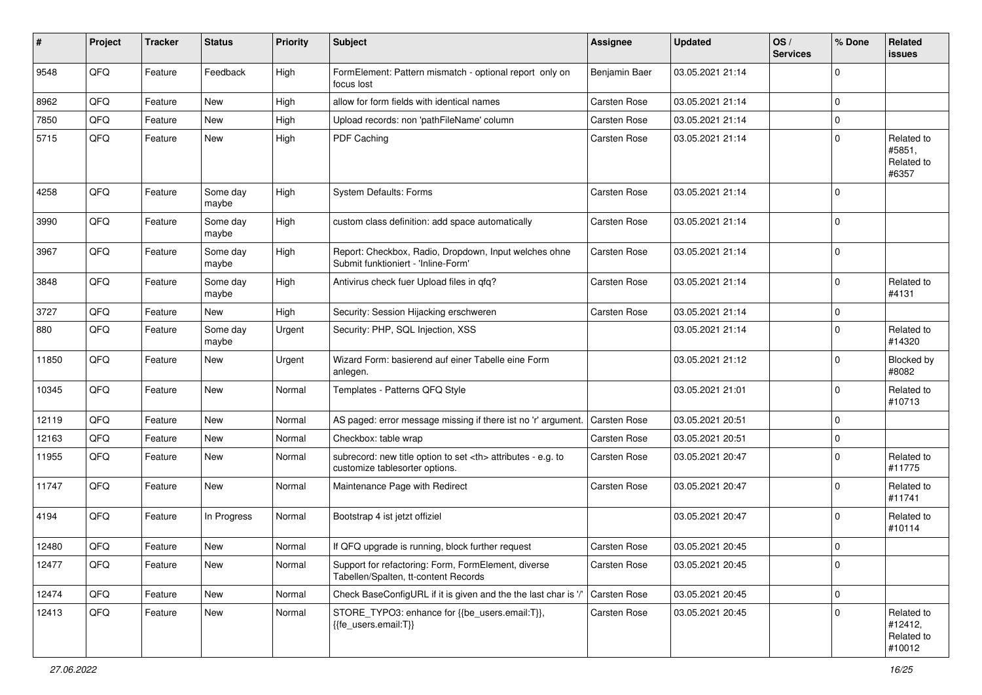| ∦     | Project | <b>Tracker</b> | <b>Status</b>     | <b>Priority</b> | <b>Subject</b>                                                                                       | <b>Assignee</b>                                        | <b>Updated</b>   | OS/<br><b>Services</b> | % Done      | <b>Related</b><br><b>issues</b>               |                      |
|-------|---------|----------------|-------------------|-----------------|------------------------------------------------------------------------------------------------------|--------------------------------------------------------|------------------|------------------------|-------------|-----------------------------------------------|----------------------|
| 9548  | QFQ     | Feature        | Feedback          | High            | FormElement: Pattern mismatch - optional report only on<br>focus lost                                | Benjamin Baer                                          | 03.05.2021 21:14 |                        | 0           |                                               |                      |
| 8962  | QFQ     | Feature        | <b>New</b>        | High            | allow for form fields with identical names                                                           | <b>Carsten Rose</b>                                    | 03.05.2021 21:14 |                        | 0           |                                               |                      |
| 7850  | QFQ     | Feature        | <b>New</b>        | High            | Upload records: non 'pathFileName' column                                                            | Carsten Rose                                           | 03.05.2021 21:14 |                        | 0           |                                               |                      |
| 5715  | QFQ     | Feature        | <b>New</b>        | High            | PDF Caching                                                                                          | <b>Carsten Rose</b>                                    | 03.05.2021 21:14 |                        | 0           | Related to<br>#5851,<br>Related to<br>#6357   |                      |
| 4258  | QFQ     | Feature        | Some day<br>maybe | High            | <b>System Defaults: Forms</b>                                                                        | Carsten Rose                                           | 03.05.2021 21:14 |                        | 0           |                                               |                      |
| 3990  | QFQ     | Feature        | Some day<br>maybe | High            | custom class definition: add space automatically                                                     | Carsten Rose                                           | 03.05.2021 21:14 |                        | 0           |                                               |                      |
| 3967  | QFQ     | Feature        | Some day<br>maybe | High            | Report: Checkbox, Radio, Dropdown, Input welches ohne<br>Submit funktioniert - 'Inline-Form'         | <b>Carsten Rose</b>                                    | 03.05.2021 21:14 |                        | $\Omega$    |                                               |                      |
| 3848  | QFQ     | Feature        | Some day<br>maybe | High            | Antivirus check fuer Upload files in qfq?                                                            | Carsten Rose                                           | 03.05.2021 21:14 |                        | $\Omega$    | Related to<br>#4131                           |                      |
| 3727  | QFQ     | Feature        | New               | High            | Security: Session Hijacking erschweren                                                               | <b>Carsten Rose</b>                                    | 03.05.2021 21:14 |                        | $\mathbf 0$ |                                               |                      |
| 880   | QFQ     | Feature        | Some day<br>maybe | Urgent          | Security: PHP, SQL Injection, XSS                                                                    |                                                        | 03.05.2021 21:14 |                        | 0           | Related to<br>#14320                          |                      |
| 11850 | QFQ     | Feature        | <b>New</b>        | Urgent          | Wizard Form: basierend auf einer Tabelle eine Form<br>anlegen.                                       |                                                        | 03.05.2021 21:12 |                        | $\Omega$    | Blocked by<br>#8082                           |                      |
| 10345 | QFQ     | Feature        | <b>New</b>        | Normal          | Templates - Patterns QFQ Style                                                                       |                                                        | 03.05.2021 21:01 |                        | 0           | Related to<br>#10713                          |                      |
| 12119 | QFQ     | Feature        | <b>New</b>        | Normal          | AS paged: error message missing if there ist no 'r' argument.                                        | <b>Carsten Rose</b>                                    | 03.05.2021 20:51 |                        | 0           |                                               |                      |
| 12163 | QFQ     | Feature        | New               | Normal          | Checkbox: table wrap                                                                                 | Carsten Rose                                           | 03.05.2021 20:51 |                        | 0           |                                               |                      |
| 11955 | QFQ     | Feature        | <b>New</b>        | Normal          | subrecord: new title option to set <th> attributes - e.g. to<br/>customize tablesorter options.</th> | attributes - e.g. to<br>customize tablesorter options. | Carsten Rose     | 03.05.2021 20:47       |             | 0                                             | Related to<br>#11775 |
| 11747 | QFQ     | Feature        | <b>New</b>        | Normal          | Maintenance Page with Redirect                                                                       | Carsten Rose                                           | 03.05.2021 20:47 |                        | 0           | Related to<br>#11741                          |                      |
| 4194  | QFQ     | Feature        | In Progress       | Normal          | Bootstrap 4 ist jetzt offiziel                                                                       |                                                        | 03.05.2021 20:47 |                        | 0           | Related to<br>#10114                          |                      |
| 12480 | QFQ     | Feature        | New               | Normal          | If QFQ upgrade is running, block further request                                                     | <b>Carsten Rose</b>                                    | 03.05.2021 20:45 |                        | 0           |                                               |                      |
| 12477 | QFO     | Feature        | New               | Normal          | Support for refactoring: Form, FormElement, diverse<br>Tabellen/Spalten, tt-content Records          | Carsten Rose                                           | 03.05.2021 20:45 |                        | 0           |                                               |                      |
| 12474 | QFQ     | Feature        | New               | Normal          | Check BaseConfigURL if it is given and the the last char is '/'                                      | Carsten Rose                                           | 03.05.2021 20:45 |                        | 0           |                                               |                      |
| 12413 | QFQ     | Feature        | New               | Normal          | STORE_TYPO3: enhance for {{be_users.email:T}},<br>{{fe_users.email:T}}                               | Carsten Rose                                           | 03.05.2021 20:45 |                        | 0           | Related to<br>#12412,<br>Related to<br>#10012 |                      |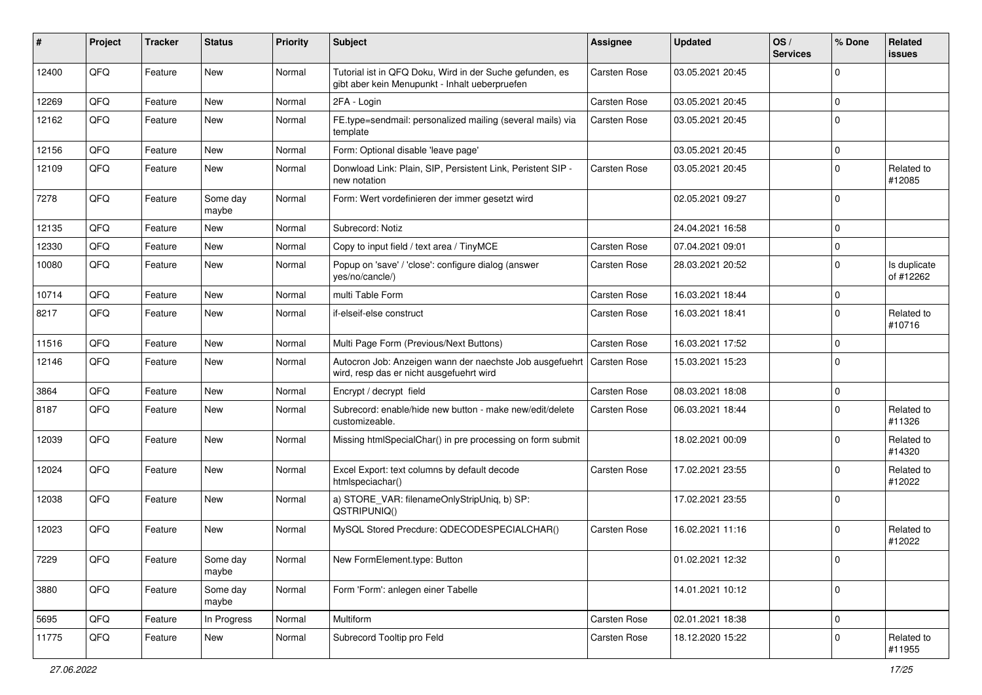| #     | Project | <b>Tracker</b> | <b>Status</b>     | <b>Priority</b> | Subject                                                                                                    | <b>Assignee</b>     | <b>Updated</b>   | OS/<br><b>Services</b> | % Done      | <b>Related</b><br><b>issues</b> |
|-------|---------|----------------|-------------------|-----------------|------------------------------------------------------------------------------------------------------------|---------------------|------------------|------------------------|-------------|---------------------------------|
| 12400 | QFQ     | Feature        | <b>New</b>        | Normal          | Tutorial ist in QFQ Doku, Wird in der Suche gefunden, es<br>gibt aber kein Menupunkt - Inhalt ueberpruefen | Carsten Rose        | 03.05.2021 20:45 |                        | 0           |                                 |
| 12269 | QFQ     | Feature        | <b>New</b>        | Normal          | 2FA - Login                                                                                                | <b>Carsten Rose</b> | 03.05.2021 20:45 |                        | 0           |                                 |
| 12162 | QFQ     | Feature        | <b>New</b>        | Normal          | FE.type=sendmail: personalized mailing (several mails) via<br>template                                     | Carsten Rose        | 03.05.2021 20:45 |                        | $\mathbf 0$ |                                 |
| 12156 | QFQ     | Feature        | <b>New</b>        | Normal          | Form: Optional disable 'leave page'                                                                        |                     | 03.05.2021 20:45 |                        | $\mathbf 0$ |                                 |
| 12109 | QFQ     | Feature        | <b>New</b>        | Normal          | Donwload Link: Plain, SIP, Persistent Link, Peristent SIP -<br>new notation                                | Carsten Rose        | 03.05.2021 20:45 |                        | 0           | Related to<br>#12085            |
| 7278  | QFQ     | Feature        | Some day<br>maybe | Normal          | Form: Wert vordefinieren der immer gesetzt wird                                                            |                     | 02.05.2021 09:27 |                        | $\Omega$    |                                 |
| 12135 | QFQ     | Feature        | <b>New</b>        | Normal          | Subrecord: Notiz                                                                                           |                     | 24.04.2021 16:58 |                        | 0           |                                 |
| 12330 | QFQ     | Feature        | <b>New</b>        | Normal          | Copy to input field / text area / TinyMCE                                                                  | <b>Carsten Rose</b> | 07.04.2021 09:01 |                        | 0           |                                 |
| 10080 | QFQ     | Feature        | <b>New</b>        | Normal          | Popup on 'save' / 'close': configure dialog (answer<br>yes/no/cancle/)                                     | <b>Carsten Rose</b> | 28.03.2021 20:52 |                        | $\Omega$    | Is duplicate<br>of #12262       |
| 10714 | QFQ     | Feature        | <b>New</b>        | Normal          | multi Table Form                                                                                           | Carsten Rose        | 16.03.2021 18:44 |                        | $\mathbf 0$ |                                 |
| 8217  | QFQ     | Feature        | New               | Normal          | if-elseif-else construct                                                                                   | Carsten Rose        | 16.03.2021 18:41 |                        | $\mathbf 0$ | Related to<br>#10716            |
| 11516 | QFQ     | Feature        | New               | Normal          | Multi Page Form (Previous/Next Buttons)                                                                    | Carsten Rose        | 16.03.2021 17:52 |                        | 0           |                                 |
| 12146 | QFQ     | Feature        | New               | Normal          | Autocron Job: Anzeigen wann der naechste Job ausgefuehrt<br>wird, resp das er nicht ausgefuehrt wird       | <b>Carsten Rose</b> | 15.03.2021 15:23 |                        | 0           |                                 |
| 3864  | QFQ     | Feature        | <b>New</b>        | Normal          | Encrypt / decrypt field                                                                                    | <b>Carsten Rose</b> | 08.03.2021 18:08 |                        | 0           |                                 |
| 8187  | QFQ     | Feature        | New               | Normal          | Subrecord: enable/hide new button - make new/edit/delete<br>customizeable.                                 | Carsten Rose        | 06.03.2021 18:44 |                        | $\Omega$    | Related to<br>#11326            |
| 12039 | QFQ     | Feature        | <b>New</b>        | Normal          | Missing htmlSpecialChar() in pre processing on form submit                                                 |                     | 18.02.2021 00:09 |                        | $\Omega$    | Related to<br>#14320            |
| 12024 | QFQ     | Feature        | <b>New</b>        | Normal          | Excel Export: text columns by default decode<br>htmlspeciachar()                                           | Carsten Rose        | 17.02.2021 23:55 |                        | 0           | Related to<br>#12022            |
| 12038 | QFQ     | Feature        | <b>New</b>        | Normal          | a) STORE_VAR: filenameOnlyStripUniq, b) SP:<br>QSTRIPUNIQ()                                                |                     | 17.02.2021 23:55 |                        | $\Omega$    |                                 |
| 12023 | QFQ     | Feature        | <b>New</b>        | Normal          | MySQL Stored Precdure: QDECODESPECIALCHAR()                                                                | <b>Carsten Rose</b> | 16.02.2021 11:16 |                        | $\Omega$    | Related to<br>#12022            |
| 7229  | QFQ     | Feature        | Some day<br>maybe | Normal          | New FormElement.type: Button                                                                               |                     | 01.02.2021 12:32 |                        | 0           |                                 |
| 3880  | QFQ     | Feature        | Some day<br>maybe | Normal          | Form 'Form': anlegen einer Tabelle                                                                         |                     | 14.01.2021 10:12 |                        | 0           |                                 |
| 5695  | QFQ     | Feature        | In Progress       | Normal          | Multiform                                                                                                  | Carsten Rose        | 02.01.2021 18:38 |                        | 0           |                                 |
| 11775 | QFQ     | Feature        | New               | Normal          | Subrecord Tooltip pro Feld                                                                                 | Carsten Rose        | 18.12.2020 15:22 |                        | 0           | Related to<br>#11955            |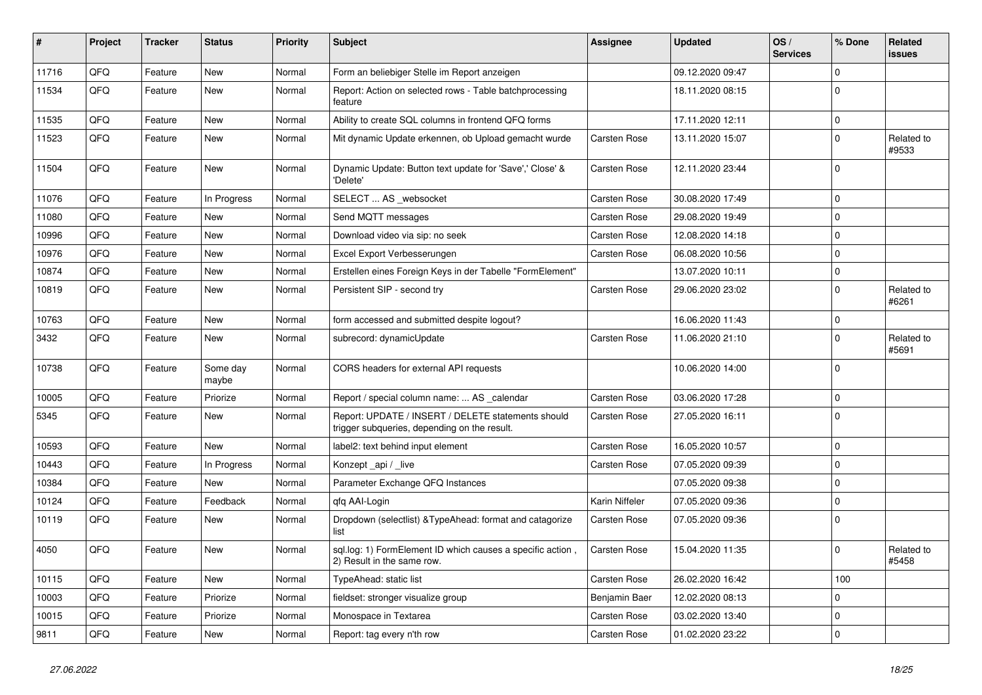| ∦     | Project | <b>Tracker</b> | <b>Status</b>     | <b>Priority</b> | <b>Subject</b>                                                                                     | <b>Assignee</b> | <b>Updated</b>   | OS/<br><b>Services</b> | % Done      | Related<br><b>issues</b> |
|-------|---------|----------------|-------------------|-----------------|----------------------------------------------------------------------------------------------------|-----------------|------------------|------------------------|-------------|--------------------------|
| 11716 | QFQ     | Feature        | <b>New</b>        | Normal          | Form an beliebiger Stelle im Report anzeigen                                                       |                 | 09.12.2020 09:47 |                        | $\mathbf 0$ |                          |
| 11534 | QFQ     | Feature        | New               | Normal          | Report: Action on selected rows - Table batchprocessing<br>feature                                 |                 | 18.11.2020 08:15 |                        | $\mathbf 0$ |                          |
| 11535 | QFQ     | Feature        | New               | Normal          | Ability to create SQL columns in frontend QFQ forms                                                |                 | 17.11.2020 12:11 |                        | $\pmb{0}$   |                          |
| 11523 | QFQ     | Feature        | New               | Normal          | Mit dynamic Update erkennen, ob Upload gemacht wurde                                               | Carsten Rose    | 13.11.2020 15:07 |                        | $\pmb{0}$   | Related to<br>#9533      |
| 11504 | QFQ     | Feature        | New               | Normal          | Dynamic Update: Button text update for 'Save',' Close' &<br>'Delete'                               | Carsten Rose    | 12.11.2020 23:44 |                        | $\Omega$    |                          |
| 11076 | QFQ     | Feature        | In Progress       | Normal          | SELECT  AS_websocket                                                                               | Carsten Rose    | 30.08.2020 17:49 |                        | $\mathbf 0$ |                          |
| 11080 | QFQ     | Feature        | <b>New</b>        | Normal          | Send MQTT messages                                                                                 | Carsten Rose    | 29.08.2020 19:49 |                        | $\mathbf 0$ |                          |
| 10996 | QFQ     | Feature        | <b>New</b>        | Normal          | Download video via sip: no seek                                                                    | Carsten Rose    | 12.08.2020 14:18 |                        | $\mathbf 0$ |                          |
| 10976 | QFQ     | Feature        | New               | Normal          | Excel Export Verbesserungen                                                                        | Carsten Rose    | 06.08.2020 10:56 |                        | $\mathbf 0$ |                          |
| 10874 | QFQ     | Feature        | <b>New</b>        | Normal          | Erstellen eines Foreign Keys in der Tabelle "FormElement"                                          |                 | 13.07.2020 10:11 |                        | $\mathbf 0$ |                          |
| 10819 | QFQ     | Feature        | <b>New</b>        | Normal          | Persistent SIP - second try                                                                        | Carsten Rose    | 29.06.2020 23:02 |                        | $\mathbf 0$ | Related to<br>#6261      |
| 10763 | QFQ     | Feature        | New               | Normal          | form accessed and submitted despite logout?                                                        |                 | 16.06.2020 11:43 |                        | $\pmb{0}$   |                          |
| 3432  | QFQ     | Feature        | New               | Normal          | subrecord: dynamicUpdate                                                                           | Carsten Rose    | 11.06.2020 21:10 |                        | $\mathbf 0$ | Related to<br>#5691      |
| 10738 | QFQ     | Feature        | Some day<br>maybe | Normal          | CORS headers for external API requests                                                             |                 | 10.06.2020 14:00 |                        | $\mathbf 0$ |                          |
| 10005 | QFQ     | Feature        | Priorize          | Normal          | Report / special column name:  AS _calendar                                                        | Carsten Rose    | 03.06.2020 17:28 |                        | $\mathbf 0$ |                          |
| 5345  | QFQ     | Feature        | New               | Normal          | Report: UPDATE / INSERT / DELETE statements should<br>trigger subqueries, depending on the result. | Carsten Rose    | 27.05.2020 16:11 |                        | $\pmb{0}$   |                          |
| 10593 | QFQ     | Feature        | <b>New</b>        | Normal          | label2: text behind input element                                                                  | Carsten Rose    | 16.05.2020 10:57 |                        | $\mathbf 0$ |                          |
| 10443 | QFQ     | Feature        | In Progress       | Normal          | Konzept _api / _live                                                                               | Carsten Rose    | 07.05.2020 09:39 |                        | $\mathbf 0$ |                          |
| 10384 | QFQ     | Feature        | New               | Normal          | Parameter Exchange QFQ Instances                                                                   |                 | 07.05.2020 09:38 |                        | $\mathbf 0$ |                          |
| 10124 | QFQ     | Feature        | Feedback          | Normal          | gfg AAI-Login                                                                                      | Karin Niffeler  | 07.05.2020 09:36 |                        | $\pmb{0}$   |                          |
| 10119 | QFQ     | Feature        | New               | Normal          | Dropdown (selectlist) & Type Ahead: format and catagorize<br>list                                  | Carsten Rose    | 07.05.2020 09:36 |                        | $\mathbf 0$ |                          |
| 4050  | QFQ     | Feature        | New               | Normal          | sql.log: 1) FormElement ID which causes a specific action,<br>2) Result in the same row.           | Carsten Rose    | 15.04.2020 11:35 |                        | $\mathbf 0$ | Related to<br>#5458      |
| 10115 | QFQ     | Feature        | New               | Normal          | TypeAhead: static list                                                                             | Carsten Rose    | 26.02.2020 16:42 |                        | 100         |                          |
| 10003 | QFQ     | Feature        | Priorize          | Normal          | fieldset: stronger visualize group                                                                 | Benjamin Baer   | 12.02.2020 08:13 |                        | $\mathbf 0$ |                          |
| 10015 | QFQ     | Feature        | Priorize          | Normal          | Monospace in Textarea                                                                              | Carsten Rose    | 03.02.2020 13:40 |                        | $\mathbf 0$ |                          |
| 9811  | QFQ     | Feature        | <b>New</b>        | Normal          | Report: tag every n'th row                                                                         | Carsten Rose    | 01.02.2020 23:22 |                        | $\mathbf 0$ |                          |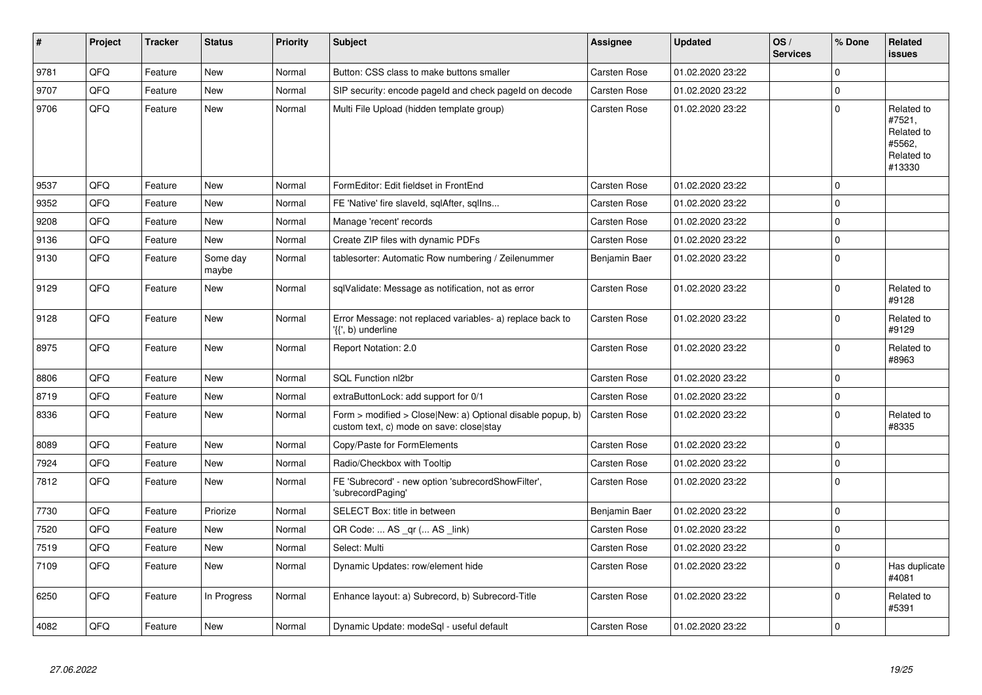| $\vert$ # | Project | <b>Tracker</b> | <b>Status</b>     | <b>Priority</b> | <b>Subject</b>                                                                                         | Assignee            | <b>Updated</b>   | OS/<br><b>Services</b> | % Done      | Related<br>issues                                                    |
|-----------|---------|----------------|-------------------|-----------------|--------------------------------------------------------------------------------------------------------|---------------------|------------------|------------------------|-------------|----------------------------------------------------------------------|
| 9781      | QFQ     | Feature        | <b>New</b>        | Normal          | Button: CSS class to make buttons smaller                                                              | Carsten Rose        | 01.02.2020 23:22 |                        | $\Omega$    |                                                                      |
| 9707      | QFQ     | Feature        | <b>New</b>        | Normal          | SIP security: encode pageld and check pageld on decode                                                 | Carsten Rose        | 01.02.2020 23:22 |                        | $\Omega$    |                                                                      |
| 9706      | QFQ     | Feature        | New               | Normal          | Multi File Upload (hidden template group)                                                              | Carsten Rose        | 01.02.2020 23:22 |                        | $\pmb{0}$   | Related to<br>#7521,<br>Related to<br>#5562,<br>Related to<br>#13330 |
| 9537      | QFQ     | Feature        | <b>New</b>        | Normal          | FormEditor: Edit fieldset in FrontEnd                                                                  | Carsten Rose        | 01.02.2020 23:22 |                        | $\Omega$    |                                                                      |
| 9352      | QFQ     | Feature        | New               | Normal          | FE 'Native' fire slaveld, sglAfter, sglIns                                                             | Carsten Rose        | 01.02.2020 23:22 |                        | $\Omega$    |                                                                      |
| 9208      | QFQ     | Feature        | <b>New</b>        | Normal          | Manage 'recent' records                                                                                | Carsten Rose        | 01.02.2020 23:22 |                        | 0           |                                                                      |
| 9136      | QFQ     | Feature        | <b>New</b>        | Normal          | Create ZIP files with dynamic PDFs                                                                     | <b>Carsten Rose</b> | 01.02.2020 23:22 |                        | $\Omega$    |                                                                      |
| 9130      | QFQ     | Feature        | Some day<br>maybe | Normal          | tablesorter: Automatic Row numbering / Zeilenummer                                                     | Benjamin Baer       | 01.02.2020 23:22 |                        | $\pmb{0}$   |                                                                      |
| 9129      | QFQ     | Feature        | <b>New</b>        | Normal          | sqlValidate: Message as notification, not as error                                                     | Carsten Rose        | 01.02.2020 23:22 |                        | $\Omega$    | Related to<br>#9128                                                  |
| 9128      | QFQ     | Feature        | New               | Normal          | Error Message: not replaced variables- a) replace back to<br>'{{', b) underline                        | Carsten Rose        | 01.02.2020 23:22 |                        | 0           | Related to<br>#9129                                                  |
| 8975      | QFQ     | Feature        | New               | Normal          | Report Notation: 2.0                                                                                   | Carsten Rose        | 01.02.2020 23:22 |                        | $\Omega$    | Related to<br>#8963                                                  |
| 8806      | QFQ     | Feature        | <b>New</b>        | Normal          | SQL Function nl2br                                                                                     | Carsten Rose        | 01.02.2020 23:22 |                        | $\Omega$    |                                                                      |
| 8719      | QFQ     | Feature        | New               | Normal          | extraButtonLock: add support for 0/1                                                                   | Carsten Rose        | 01.02.2020 23:22 |                        | $\mathbf 0$ |                                                                      |
| 8336      | QFQ     | Feature        | <b>New</b>        | Normal          | Form > modified > Close New: a) Optional disable popup, b)<br>custom text, c) mode on save: close stay | Carsten Rose        | 01.02.2020 23:22 |                        | 0           | Related to<br>#8335                                                  |
| 8089      | QFQ     | Feature        | <b>New</b>        | Normal          | Copy/Paste for FormElements                                                                            | Carsten Rose        | 01.02.2020 23:22 |                        | $\Omega$    |                                                                      |
| 7924      | QFQ     | Feature        | <b>New</b>        | Normal          | Radio/Checkbox with Tooltip                                                                            | Carsten Rose        | 01.02.2020 23:22 |                        | 0           |                                                                      |
| 7812      | QFQ     | Feature        | New               | Normal          | FE 'Subrecord' - new option 'subrecordShowFilter',<br>'subrecordPaging'                                | Carsten Rose        | 01.02.2020 23:22 |                        | $\Omega$    |                                                                      |
| 7730      | QFQ     | Feature        | Priorize          | Normal          | SELECT Box: title in between                                                                           | Benjamin Baer       | 01.02.2020 23:22 |                        | 0           |                                                                      |
| 7520      | QFQ     | Feature        | New               | Normal          | QR Code:  AS _qr ( AS _link)                                                                           | Carsten Rose        | 01.02.2020 23:22 |                        | $\Omega$    |                                                                      |
| 7519      | QFQ     | Feature        | <b>New</b>        | Normal          | Select: Multi                                                                                          | Carsten Rose        | 01.02.2020 23:22 |                        | $\mathbf 0$ |                                                                      |
| 7109      | QFQ     | Feature        | New               | Normal          | Dynamic Updates: row/element hide                                                                      | Carsten Rose        | 01.02.2020 23:22 |                        | $\mathbf 0$ | Has duplicate<br>#4081                                               |
| 6250      | QFQ     | Feature        | In Progress       | Normal          | Enhance layout: a) Subrecord, b) Subrecord-Title                                                       | Carsten Rose        | 01.02.2020 23:22 |                        | $\Omega$    | Related to<br>#5391                                                  |
| 4082      | QFQ     | Feature        | New               | Normal          | Dynamic Update: modeSql - useful default                                                               | Carsten Rose        | 01.02.2020 23:22 |                        | $\Omega$    |                                                                      |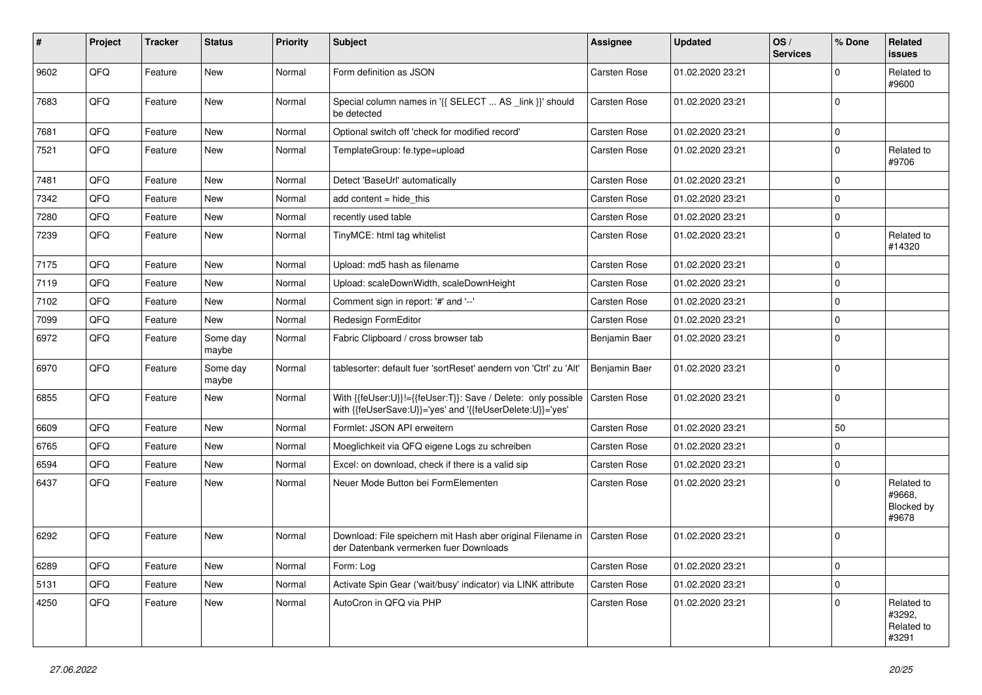| #    | Project | <b>Tracker</b> | <b>Status</b>     | <b>Priority</b> | Subject                                                                                                                    | Assignee            | <b>Updated</b>   | OS/<br><b>Services</b> | % Done      | Related<br>issues                                  |
|------|---------|----------------|-------------------|-----------------|----------------------------------------------------------------------------------------------------------------------------|---------------------|------------------|------------------------|-------------|----------------------------------------------------|
| 9602 | QFQ     | Feature        | New               | Normal          | Form definition as JSON                                                                                                    | <b>Carsten Rose</b> | 01.02.2020 23:21 |                        | $\Omega$    | Related to<br>#9600                                |
| 7683 | QFQ     | Feature        | New               | Normal          | Special column names in '{{ SELECT  AS _link }}' should<br>be detected                                                     | <b>Carsten Rose</b> | 01.02.2020 23:21 |                        | $\mathbf 0$ |                                                    |
| 7681 | QFQ     | Feature        | New               | Normal          | Optional switch off 'check for modified record'                                                                            | Carsten Rose        | 01.02.2020 23:21 |                        | 0           |                                                    |
| 7521 | QFQ     | Feature        | New               | Normal          | TemplateGroup: fe.type=upload                                                                                              | Carsten Rose        | 01.02.2020 23:21 |                        | $\mathbf 0$ | Related to<br>#9706                                |
| 7481 | QFQ     | Feature        | New               | Normal          | Detect 'BaseUrl' automatically                                                                                             | Carsten Rose        | 01.02.2020 23:21 |                        | $\Omega$    |                                                    |
| 7342 | QFQ     | Feature        | <b>New</b>        | Normal          | add content $=$ hide this                                                                                                  | Carsten Rose        | 01.02.2020 23:21 |                        | $\mathbf 0$ |                                                    |
| 7280 | QFQ     | Feature        | New               | Normal          | recently used table                                                                                                        | Carsten Rose        | 01.02.2020 23:21 |                        | $\mathbf 0$ |                                                    |
| 7239 | QFQ     | Feature        | New               | Normal          | TinyMCE: html tag whitelist                                                                                                | Carsten Rose        | 01.02.2020 23:21 |                        | $\mathbf 0$ | Related to<br>#14320                               |
| 7175 | QFQ     | Feature        | New               | Normal          | Upload: md5 hash as filename                                                                                               | Carsten Rose        | 01.02.2020 23:21 |                        | $\mathbf 0$ |                                                    |
| 7119 | QFQ     | Feature        | New               | Normal          | Upload: scaleDownWidth, scaleDownHeight                                                                                    | Carsten Rose        | 01.02.2020 23:21 |                        | $\mathbf 0$ |                                                    |
| 7102 | QFQ     | Feature        | <b>New</b>        | Normal          | Comment sign in report: '#' and '--'                                                                                       | <b>Carsten Rose</b> | 01.02.2020 23:21 |                        | $\mathbf 0$ |                                                    |
| 7099 | QFQ     | Feature        | New               | Normal          | Redesign FormEditor                                                                                                        | <b>Carsten Rose</b> | 01.02.2020 23:21 |                        | $\mathbf 0$ |                                                    |
| 6972 | QFQ     | Feature        | Some day<br>maybe | Normal          | Fabric Clipboard / cross browser tab                                                                                       | Benjamin Baer       | 01.02.2020 23:21 |                        | $\mathbf 0$ |                                                    |
| 6970 | QFQ     | Feature        | Some day<br>maybe | Normal          | tablesorter: default fuer 'sortReset' aendern von 'Ctrl' zu 'Alt'                                                          | Benjamin Baer       | 01.02.2020 23:21 |                        | $\mathbf 0$ |                                                    |
| 6855 | QFQ     | Feature        | <b>New</b>        | Normal          | With {{feUser:U}}!={{feUser:T}}: Save / Delete: only possible<br>with {{feUserSave:U}}='yes' and '{{feUserDelete:U}}='yes' | <b>Carsten Rose</b> | 01.02.2020 23:21 |                        | $\mathbf 0$ |                                                    |
| 6609 | QFQ     | Feature        | New               | Normal          | Formlet: JSON API erweitern                                                                                                | <b>Carsten Rose</b> | 01.02.2020 23:21 |                        | 50          |                                                    |
| 6765 | QFQ     | Feature        | New               | Normal          | Moeglichkeit via QFQ eigene Logs zu schreiben                                                                              | Carsten Rose        | 01.02.2020 23:21 |                        | $\mathbf 0$ |                                                    |
| 6594 | QFQ     | Feature        | <b>New</b>        | Normal          | Excel: on download, check if there is a valid sip                                                                          | Carsten Rose        | 01.02.2020 23:21 |                        | $\pmb{0}$   |                                                    |
| 6437 | QFQ     | Feature        | New               | Normal          | Neuer Mode Button bei FormElementen                                                                                        | Carsten Rose        | 01.02.2020 23:21 |                        | $\Omega$    | Related to<br>#9668,<br><b>Blocked by</b><br>#9678 |
| 6292 | QFQ     | Feature        | New               | Normal          | Download: File speichern mit Hash aber original Filename in<br>der Datenbank vermerken fuer Downloads                      | <b>Carsten Rose</b> | 01.02.2020 23:21 |                        | $\mathbf 0$ |                                                    |
| 6289 | QFQ     | Feature        | New               | Normal          | Form: Log                                                                                                                  | Carsten Rose        | 01.02.2020 23:21 |                        | 0           |                                                    |
| 5131 | QFQ     | Feature        | New               | Normal          | Activate Spin Gear ('wait/busy' indicator) via LINK attribute                                                              | Carsten Rose        | 01.02.2020 23:21 |                        | $\mathbf 0$ |                                                    |
| 4250 | QFQ     | Feature        | New               | Normal          | AutoCron in QFQ via PHP                                                                                                    | Carsten Rose        | 01.02.2020 23:21 |                        | $\mathbf 0$ | Related to<br>#3292,<br>Related to<br>#3291        |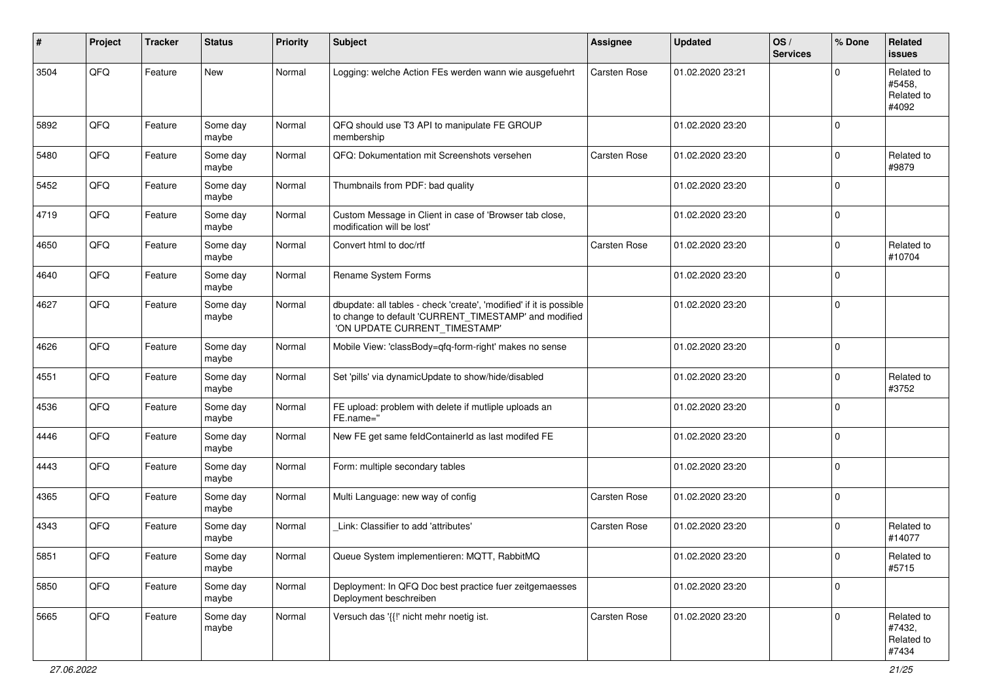| #    | Project | <b>Tracker</b> | <b>Status</b>     | <b>Priority</b> | <b>Subject</b>                                                                                                                                                | <b>Assignee</b>     | <b>Updated</b>   | OS/<br><b>Services</b> | % Done      | Related<br><b>issues</b>                    |
|------|---------|----------------|-------------------|-----------------|---------------------------------------------------------------------------------------------------------------------------------------------------------------|---------------------|------------------|------------------------|-------------|---------------------------------------------|
| 3504 | QFQ     | Feature        | <b>New</b>        | Normal          | Logging: welche Action FEs werden wann wie ausgefuehrt                                                                                                        | Carsten Rose        | 01.02.2020 23:21 |                        | $\Omega$    | Related to<br>#5458,<br>Related to<br>#4092 |
| 5892 | QFQ     | Feature        | Some day<br>maybe | Normal          | QFQ should use T3 API to manipulate FE GROUP<br>membership                                                                                                    |                     | 01.02.2020 23:20 |                        | $\Omega$    |                                             |
| 5480 | QFQ     | Feature        | Some day<br>maybe | Normal          | QFQ: Dokumentation mit Screenshots versehen                                                                                                                   | Carsten Rose        | 01.02.2020 23:20 |                        | $\mathbf 0$ | Related to<br>#9879                         |
| 5452 | QFQ     | Feature        | Some day<br>maybe | Normal          | Thumbnails from PDF: bad quality                                                                                                                              |                     | 01.02.2020 23:20 |                        | $\mathbf 0$ |                                             |
| 4719 | QFQ     | Feature        | Some day<br>maybe | Normal          | Custom Message in Client in case of 'Browser tab close,<br>modification will be lost'                                                                         |                     | 01.02.2020 23:20 |                        | $\mathbf 0$ |                                             |
| 4650 | QFQ     | Feature        | Some day<br>maybe | Normal          | Convert html to doc/rtf                                                                                                                                       | <b>Carsten Rose</b> | 01.02.2020 23:20 |                        | $\mathbf 0$ | Related to<br>#10704                        |
| 4640 | QFQ     | Feature        | Some day<br>maybe | Normal          | Rename System Forms                                                                                                                                           |                     | 01.02.2020 23:20 |                        | $\Omega$    |                                             |
| 4627 | QFQ     | Feature        | Some day<br>maybe | Normal          | dbupdate: all tables - check 'create', 'modified' if it is possible<br>to change to default 'CURRENT TIMESTAMP' and modified<br>'ON UPDATE CURRENT_TIMESTAMP' |                     | 01.02.2020 23:20 |                        | $\Omega$    |                                             |
| 4626 | QFQ     | Feature        | Some day<br>maybe | Normal          | Mobile View: 'classBody=qfq-form-right' makes no sense                                                                                                        |                     | 01.02.2020 23:20 |                        | $\Omega$    |                                             |
| 4551 | QFQ     | Feature        | Some day<br>maybe | Normal          | Set 'pills' via dynamicUpdate to show/hide/disabled                                                                                                           |                     | 01.02.2020 23:20 |                        | $\Omega$    | Related to<br>#3752                         |
| 4536 | QFQ     | Feature        | Some day<br>maybe | Normal          | FE upload: problem with delete if mutliple uploads an<br>FE.name="                                                                                            |                     | 01.02.2020 23:20 |                        | $\Omega$    |                                             |
| 4446 | QFQ     | Feature        | Some day<br>maybe | Normal          | New FE get same feldContainerId as last modifed FE                                                                                                            |                     | 01.02.2020 23:20 |                        | $\mathbf 0$ |                                             |
| 4443 | QFQ     | Feature        | Some day<br>maybe | Normal          | Form: multiple secondary tables                                                                                                                               |                     | 01.02.2020 23:20 |                        | $\Omega$    |                                             |
| 4365 | QFQ     | Feature        | Some day<br>maybe | Normal          | Multi Language: new way of config                                                                                                                             | Carsten Rose        | 01.02.2020 23:20 |                        | $\Omega$    |                                             |
| 4343 | QFQ     | Feature        | Some day<br>maybe | Normal          | Link: Classifier to add 'attributes'                                                                                                                          | Carsten Rose        | 01.02.2020 23:20 |                        | $\mathbf 0$ | Related to<br>#14077                        |
| 5851 | QFQ     | Feature        | Some day<br>maybe | Normal          | Queue System implementieren: MQTT, RabbitMQ                                                                                                                   |                     | 01.02.2020 23:20 |                        | $\pmb{0}$   | Related to<br>#5715                         |
| 5850 | QFQ     | Feature        | Some day<br>maybe | Normal          | Deployment: In QFQ Doc best practice fuer zeitgemaesses<br>Deployment beschreiben                                                                             |                     | 01.02.2020 23:20 |                        | $\mathbf 0$ |                                             |
| 5665 | QFQ     | Feature        | Some day<br>maybe | Normal          | Versuch das '{{!' nicht mehr noetig ist.                                                                                                                      | Carsten Rose        | 01.02.2020 23:20 |                        | $\mathbf 0$ | Related to<br>#7432,<br>Related to<br>#7434 |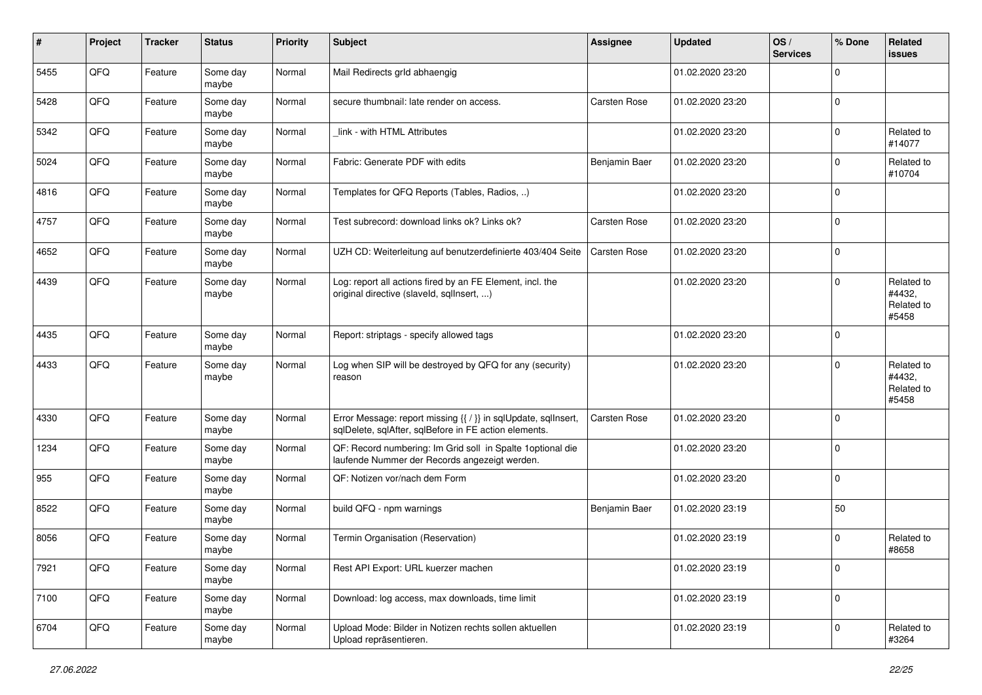| #    | Project | <b>Tracker</b> | <b>Status</b>     | <b>Priority</b> | <b>Subject</b>                                                                                                          | <b>Assignee</b> | <b>Updated</b>   | OS/<br><b>Services</b> | % Done      | Related<br><b>issues</b>                    |
|------|---------|----------------|-------------------|-----------------|-------------------------------------------------------------------------------------------------------------------------|-----------------|------------------|------------------------|-------------|---------------------------------------------|
| 5455 | QFQ     | Feature        | Some day<br>maybe | Normal          | Mail Redirects grld abhaengig                                                                                           |                 | 01.02.2020 23:20 |                        | $\mathbf 0$ |                                             |
| 5428 | QFQ     | Feature        | Some day<br>maybe | Normal          | secure thumbnail: late render on access.                                                                                | Carsten Rose    | 01.02.2020 23:20 |                        | $\mathbf 0$ |                                             |
| 5342 | QFQ     | Feature        | Some day<br>maybe | Normal          | link - with HTML Attributes                                                                                             |                 | 01.02.2020 23:20 |                        | $\Omega$    | Related to<br>#14077                        |
| 5024 | QFQ     | Feature        | Some day<br>maybe | Normal          | Fabric: Generate PDF with edits                                                                                         | Benjamin Baer   | 01.02.2020 23:20 |                        | $\mathbf 0$ | Related to<br>#10704                        |
| 4816 | QFQ     | Feature        | Some day<br>maybe | Normal          | Templates for QFQ Reports (Tables, Radios, )                                                                            |                 | 01.02.2020 23:20 |                        | $\mathbf 0$ |                                             |
| 4757 | QFQ     | Feature        | Some day<br>maybe | Normal          | Test subrecord: download links ok? Links ok?                                                                            | Carsten Rose    | 01.02.2020 23:20 |                        | $\mathbf 0$ |                                             |
| 4652 | QFQ     | Feature        | Some day<br>maybe | Normal          | UZH CD: Weiterleitung auf benutzerdefinierte 403/404 Seite                                                              | Carsten Rose    | 01.02.2020 23:20 |                        | $\mathbf 0$ |                                             |
| 4439 | QFQ     | Feature        | Some day<br>maybe | Normal          | Log: report all actions fired by an FE Element, incl. the<br>original directive (slaveld, sqlInsert, )                  |                 | 01.02.2020 23:20 |                        | $\Omega$    | Related to<br>#4432,<br>Related to<br>#5458 |
| 4435 | QFQ     | Feature        | Some day<br>maybe | Normal          | Report: striptags - specify allowed tags                                                                                |                 | 01.02.2020 23:20 |                        | $\Omega$    |                                             |
| 4433 | QFQ     | Feature        | Some day<br>maybe | Normal          | Log when SIP will be destroyed by QFQ for any (security)<br>reason                                                      |                 | 01.02.2020 23:20 |                        | $\mathbf 0$ | Related to<br>#4432,<br>Related to<br>#5458 |
| 4330 | QFQ     | Feature        | Some day<br>maybe | Normal          | Error Message: report missing {{ / }} in sqlUpdate, sqlInsert,<br>sqlDelete, sqlAfter, sqlBefore in FE action elements. | Carsten Rose    | 01.02.2020 23:20 |                        | $\mathbf 0$ |                                             |
| 1234 | QFQ     | Feature        | Some day<br>maybe | Normal          | QF: Record numbering: Im Grid soll in Spalte 1 optional die<br>laufende Nummer der Records angezeigt werden.            |                 | 01.02.2020 23:20 |                        | $\mathbf 0$ |                                             |
| 955  | QFQ     | Feature        | Some day<br>maybe | Normal          | QF: Notizen vor/nach dem Form                                                                                           |                 | 01.02.2020 23:20 |                        | $\mathbf 0$ |                                             |
| 8522 | QFQ     | Feature        | Some day<br>maybe | Normal          | build QFQ - npm warnings                                                                                                | Benjamin Baer   | 01.02.2020 23:19 |                        | 50          |                                             |
| 8056 | QFQ     | Feature        | Some day<br>maybe | Normal          | Termin Organisation (Reservation)                                                                                       |                 | 01.02.2020 23:19 |                        | $\Omega$    | Related to<br>#8658                         |
| 7921 | QFQ     | Feature        | Some day<br>maybe | Normal          | Rest API Export: URL kuerzer machen                                                                                     |                 | 01.02.2020 23:19 |                        | 0           |                                             |
| 7100 | QFQ     | Feature        | Some day<br>maybe | Normal          | Download: log access, max downloads, time limit                                                                         |                 | 01.02.2020 23:19 |                        | $\mathbf 0$ |                                             |
| 6704 | QFQ     | Feature        | Some day<br>maybe | Normal          | Upload Mode: Bilder in Notizen rechts sollen aktuellen<br>Upload repräsentieren.                                        |                 | 01.02.2020 23:19 |                        | $\mathbf 0$ | Related to<br>#3264                         |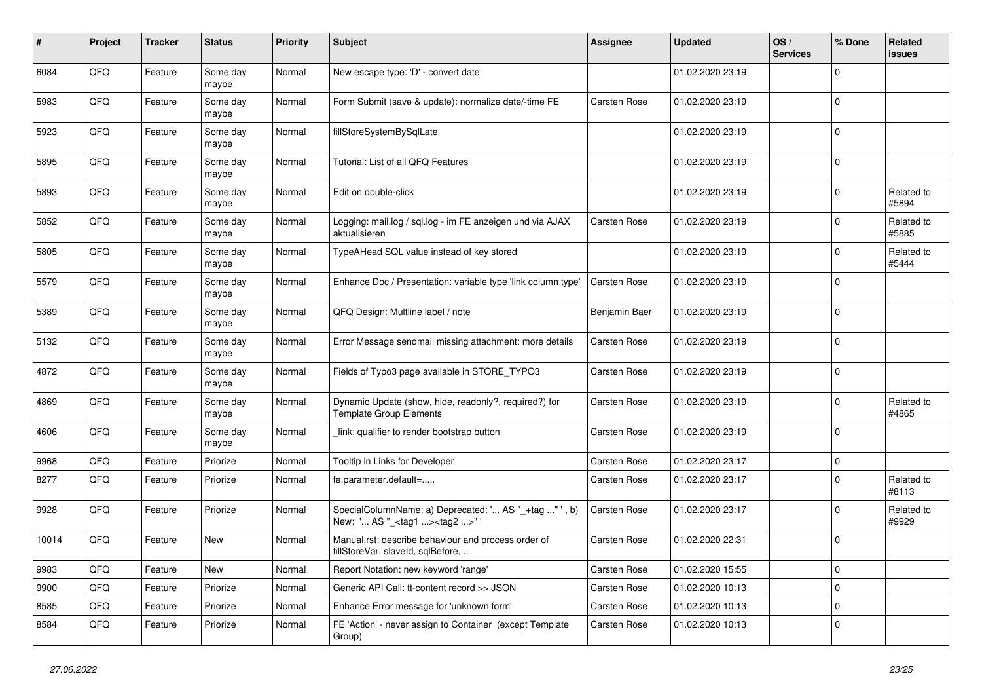| #     | Project | <b>Tracker</b> | <b>Status</b>     | <b>Priority</b> | <b>Subject</b>                                                                                    | Assignee            | <b>Updated</b>   | OS/<br><b>Services</b> | % Done      | Related<br><b>issues</b> |
|-------|---------|----------------|-------------------|-----------------|---------------------------------------------------------------------------------------------------|---------------------|------------------|------------------------|-------------|--------------------------|
| 6084  | QFQ     | Feature        | Some day<br>maybe | Normal          | New escape type: 'D' - convert date                                                               |                     | 01.02.2020 23:19 |                        | $\Omega$    |                          |
| 5983  | QFQ     | Feature        | Some day<br>maybe | Normal          | Form Submit (save & update): normalize date/-time FE                                              | <b>Carsten Rose</b> | 01.02.2020 23:19 |                        | 0           |                          |
| 5923  | QFQ     | Feature        | Some day<br>maybe | Normal          | fillStoreSystemBySqlLate                                                                          |                     | 01.02.2020 23:19 |                        | $\Omega$    |                          |
| 5895  | QFQ     | Feature        | Some day<br>maybe | Normal          | Tutorial: List of all QFQ Features                                                                |                     | 01.02.2020 23:19 |                        | $\Omega$    |                          |
| 5893  | QFQ     | Feature        | Some day<br>maybe | Normal          | Edit on double-click                                                                              |                     | 01.02.2020 23:19 |                        | $\pmb{0}$   | Related to<br>#5894      |
| 5852  | QFQ     | Feature        | Some day<br>maybe | Normal          | Logging: mail.log / sql.log - im FE anzeigen und via AJAX<br>aktualisieren                        | Carsten Rose        | 01.02.2020 23:19 |                        | $\Omega$    | Related to<br>#5885      |
| 5805  | QFQ     | Feature        | Some day<br>maybe | Normal          | TypeAHead SQL value instead of key stored                                                         |                     | 01.02.2020 23:19 |                        | $\Omega$    | Related to<br>#5444      |
| 5579  | QFQ     | Feature        | Some day<br>maybe | Normal          | Enhance Doc / Presentation: variable type 'link column type'                                      | Carsten Rose        | 01.02.2020 23:19 |                        | 0           |                          |
| 5389  | QFQ     | Feature        | Some day<br>maybe | Normal          | QFQ Design: Multline label / note                                                                 | Benjamin Baer       | 01.02.2020 23:19 |                        | $\mathbf 0$ |                          |
| 5132  | QFQ     | Feature        | Some day<br>maybe | Normal          | Error Message sendmail missing attachment: more details                                           | Carsten Rose        | 01.02.2020 23:19 |                        | $\Omega$    |                          |
| 4872  | QFQ     | Feature        | Some day<br>maybe | Normal          | Fields of Typo3 page available in STORE_TYPO3                                                     | Carsten Rose        | 01.02.2020 23:19 |                        | $\pmb{0}$   |                          |
| 4869  | QFQ     | Feature        | Some day<br>mavbe | Normal          | Dynamic Update (show, hide, readonly?, required?) for<br><b>Template Group Elements</b>           | Carsten Rose        | 01.02.2020 23:19 |                        | $\Omega$    | Related to<br>#4865      |
| 4606  | QFQ     | Feature        | Some day<br>maybe | Normal          | link: qualifier to render bootstrap button                                                        | Carsten Rose        | 01.02.2020 23:19 |                        | $\Omega$    |                          |
| 9968  | QFQ     | Feature        | Priorize          | Normal          | Tooltip in Links for Developer                                                                    | Carsten Rose        | 01.02.2020 23:17 |                        | $\pmb{0}$   |                          |
| 8277  | QFQ     | Feature        | Priorize          | Normal          | fe.parameter.default=                                                                             | Carsten Rose        | 01.02.2020 23:17 |                        | $\Omega$    | Related to<br>#8113      |
| 9928  | QFQ     | Feature        | Priorize          | Normal          | SpecialColumnName: a) Deprecated: ' AS "_+tag " ', b)<br>New: ' AS "_ <tag1><tag2>"</tag2></tag1> | Carsten Rose        | 01.02.2020 23:17 |                        | $\pmb{0}$   | Related to<br>#9929      |
| 10014 | QFQ     | Feature        | New               | Normal          | Manual.rst: describe behaviour and process order of<br>fillStoreVar, slaveId, sqlBefore,          | Carsten Rose        | 01.02.2020 22:31 |                        | $\Omega$    |                          |
| 9983  | QFQ     | Feature        | <b>New</b>        | Normal          | Report Notation: new keyword 'range'                                                              | <b>Carsten Rose</b> | 01.02.2020 15:55 |                        | 0           |                          |
| 9900  | QFQ     | Feature        | Priorize          | Normal          | Generic API Call: tt-content record >> JSON                                                       | Carsten Rose        | 01.02.2020 10:13 |                        | 0           |                          |
| 8585  | QFQ     | Feature        | Priorize          | Normal          | Enhance Error message for 'unknown form'                                                          | Carsten Rose        | 01.02.2020 10:13 |                        | $\Omega$    |                          |
| 8584  | QFQ     | Feature        | Priorize          | Normal          | FE 'Action' - never assign to Container (except Template<br>Group)                                | <b>Carsten Rose</b> | 01.02.2020 10:13 |                        | $\Omega$    |                          |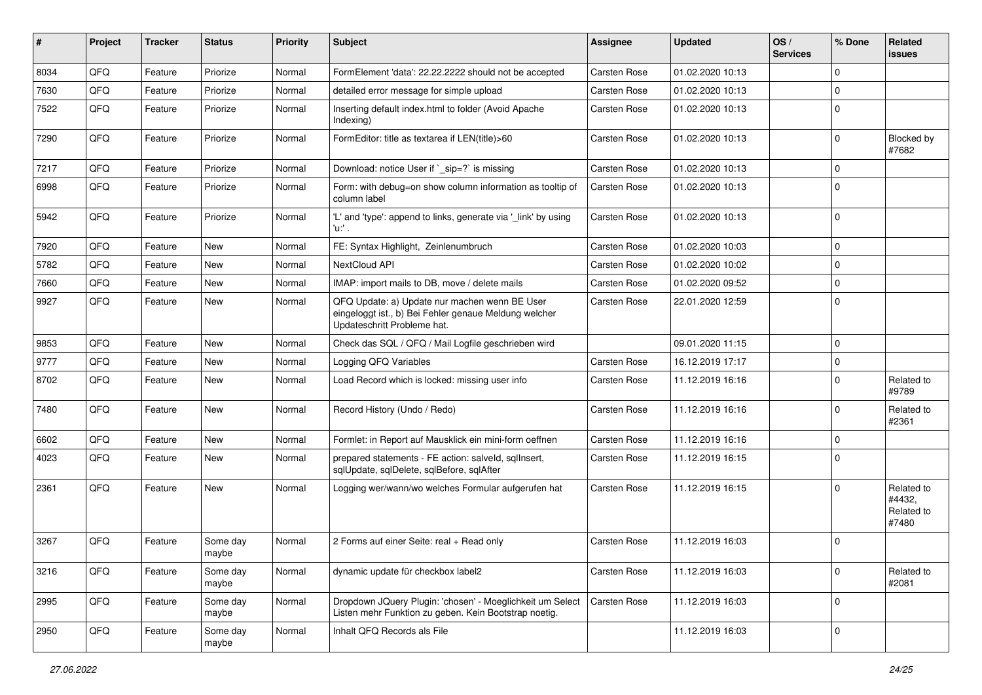| #    | <b>Project</b> | <b>Tracker</b> | <b>Status</b>     | <b>Priority</b> | Subject                                                                                                                               | <b>Assignee</b>     | <b>Updated</b>   | OS/<br><b>Services</b> | % Done      | Related<br>issues                           |
|------|----------------|----------------|-------------------|-----------------|---------------------------------------------------------------------------------------------------------------------------------------|---------------------|------------------|------------------------|-------------|---------------------------------------------|
| 8034 | QFQ            | Feature        | Priorize          | Normal          | FormElement 'data': 22.22.2222 should not be accepted                                                                                 | <b>Carsten Rose</b> | 01.02.2020 10:13 |                        | 0           |                                             |
| 7630 | QFQ            | Feature        | Priorize          | Normal          | detailed error message for simple upload                                                                                              | <b>Carsten Rose</b> | 01.02.2020 10:13 |                        | $\Omega$    |                                             |
| 7522 | QFQ            | Feature        | Priorize          | Normal          | Inserting default index.html to folder (Avoid Apache<br>Indexing)                                                                     | Carsten Rose        | 01.02.2020 10:13 |                        | $\Omega$    |                                             |
| 7290 | QFQ            | Feature        | Priorize          | Normal          | FormEditor: title as textarea if LEN(title)>60                                                                                        | Carsten Rose        | 01.02.2020 10:13 |                        | $\mathbf 0$ | Blocked by<br>#7682                         |
| 7217 | QFQ            | Feature        | Priorize          | Normal          | Download: notice User if `_sip=?` is missing                                                                                          | Carsten Rose        | 01.02.2020 10:13 |                        | $\mathbf 0$ |                                             |
| 6998 | QFQ            | Feature        | Priorize          | Normal          | Form: with debug=on show column information as tooltip of<br>column label                                                             | Carsten Rose        | 01.02.2020 10:13 |                        | 0           |                                             |
| 5942 | QFQ            | Feature        | Priorize          | Normal          | 'L' and 'type': append to links, generate via '_link' by using<br>'n.                                                                 | Carsten Rose        | 01.02.2020 10:13 |                        | $\mathbf 0$ |                                             |
| 7920 | QFQ            | Feature        | New               | Normal          | FE: Syntax Highlight, Zeinlenumbruch                                                                                                  | Carsten Rose        | 01.02.2020 10:03 |                        | $\mathbf 0$ |                                             |
| 5782 | QFQ            | Feature        | New               | Normal          | NextCloud API                                                                                                                         | Carsten Rose        | 01.02.2020 10:02 |                        | $\mathbf 0$ |                                             |
| 7660 | QFQ            | Feature        | New               | Normal          | IMAP: import mails to DB, move / delete mails                                                                                         | <b>Carsten Rose</b> | 01.02.2020 09:52 |                        | $\mathbf 0$ |                                             |
| 9927 | QFQ            | Feature        | New               | Normal          | QFQ Update: a) Update nur machen wenn BE User<br>eingeloggt ist., b) Bei Fehler genaue Meldung welcher<br>Updateschritt Probleme hat. | Carsten Rose        | 22.01.2020 12:59 |                        | $\Omega$    |                                             |
| 9853 | QFQ            | Feature        | New               | Normal          | Check das SQL / QFQ / Mail Logfile geschrieben wird                                                                                   |                     | 09.01.2020 11:15 |                        | $\mathbf 0$ |                                             |
| 9777 | QFQ            | Feature        | New               | Normal          | Logging QFQ Variables                                                                                                                 | Carsten Rose        | 16.12.2019 17:17 |                        | $\Omega$    |                                             |
| 8702 | QFQ            | Feature        | New               | Normal          | Load Record which is locked: missing user info                                                                                        | Carsten Rose        | 11.12.2019 16:16 |                        | $\mathbf 0$ | Related to<br>#9789                         |
| 7480 | QFQ            | Feature        | New               | Normal          | Record History (Undo / Redo)                                                                                                          | Carsten Rose        | 11.12.2019 16:16 |                        | $\mathbf 0$ | Related to<br>#2361                         |
| 6602 | QFQ            | Feature        | <b>New</b>        | Normal          | Formlet: in Report auf Mausklick ein mini-form oeffnen                                                                                | Carsten Rose        | 11.12.2019 16:16 |                        | $\mathbf 0$ |                                             |
| 4023 | QFQ            | Feature        | New               | Normal          | prepared statements - FE action: salveld, sqllnsert,<br>sqlUpdate, sqlDelete, sqlBefore, sqlAfter                                     | Carsten Rose        | 11.12.2019 16:15 |                        | $\Omega$    |                                             |
| 2361 | QFQ            | Feature        | New               | Normal          | Logging wer/wann/wo welches Formular aufgerufen hat                                                                                   | Carsten Rose        | 11.12.2019 16:15 |                        | $\Omega$    | Related to<br>#4432,<br>Related to<br>#7480 |
| 3267 | QFQ            | Feature        | Some day<br>maybe | Normal          | 2 Forms auf einer Seite: real + Read only                                                                                             | Carsten Rose        | 11.12.2019 16:03 |                        | $\mathbf 0$ |                                             |
| 3216 | QFQ            | Feature        | Some day<br>maybe | Normal          | dynamic update für checkbox label2                                                                                                    | Carsten Rose        | 11.12.2019 16:03 |                        | $\mathbf 0$ | Related to<br>#2081                         |
| 2995 | QFQ            | Feature        | Some day<br>maybe | Normal          | Dropdown JQuery Plugin: 'chosen' - Moeglichkeit um Select<br>Listen mehr Funktion zu geben. Kein Bootstrap noetig.                    | Carsten Rose        | 11.12.2019 16:03 |                        | 0           |                                             |
| 2950 | QFQ            | Feature        | Some day<br>maybe | Normal          | Inhalt QFQ Records als File                                                                                                           |                     | 11.12.2019 16:03 |                        | $\mathbf 0$ |                                             |